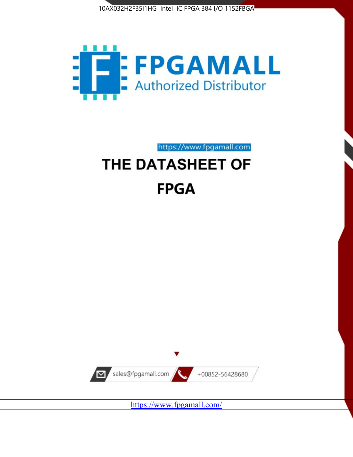



https://www.fpgamall.com THE DATASHEET OF

# **FPGA**



<https://www.fpgamall.com/>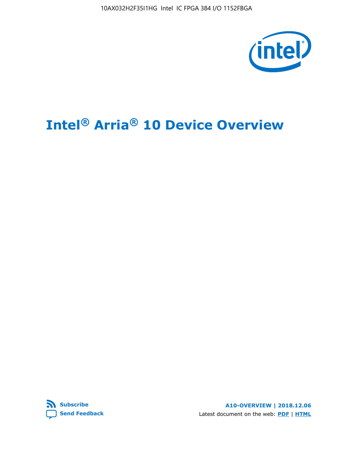10AX032H2F35I1HG Intel IC FPGA 384 I/O 1152FBGA



# **Intel® Arria® 10 Device Overview**



**A10-OVERVIEW | 2018.12.06** Latest document on the web: **[PDF](https://www.intel.com/content/dam/www/programmable/us/en/pdfs/literature/hb/arria-10/a10_overview.pdf)** | **[HTML](https://www.intel.com/content/www/us/en/programmable/documentation/sam1403480274650.html)**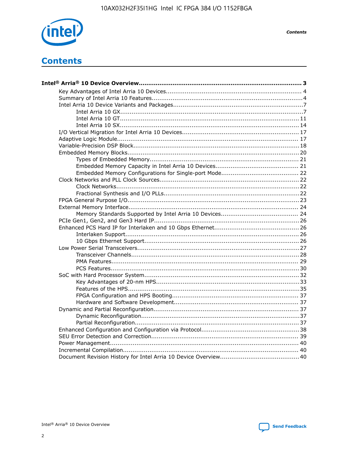

**Contents** 

# **Contents**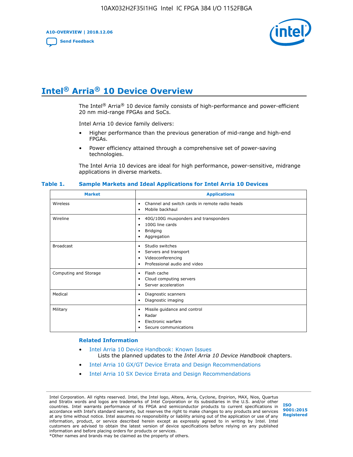**A10-OVERVIEW | 2018.12.06**

**[Send Feedback](mailto:FPGAtechdocfeedback@intel.com?subject=Feedback%20on%20Intel%20Arria%2010%20Device%20Overview%20(A10-OVERVIEW%202018.12.06)&body=We%20appreciate%20your%20feedback.%20In%20your%20comments,%20also%20specify%20the%20page%20number%20or%20paragraph.%20Thank%20you.)**



# **Intel® Arria® 10 Device Overview**

The Intel<sup>®</sup> Arria<sup>®</sup> 10 device family consists of high-performance and power-efficient 20 nm mid-range FPGAs and SoCs.

Intel Arria 10 device family delivers:

- Higher performance than the previous generation of mid-range and high-end FPGAs.
- Power efficiency attained through a comprehensive set of power-saving technologies.

The Intel Arria 10 devices are ideal for high performance, power-sensitive, midrange applications in diverse markets.

| <b>Market</b>         | <b>Applications</b>                                                                                               |
|-----------------------|-------------------------------------------------------------------------------------------------------------------|
| Wireless              | Channel and switch cards in remote radio heads<br>٠<br>Mobile backhaul<br>٠                                       |
| Wireline              | 40G/100G muxponders and transponders<br>٠<br>100G line cards<br>٠<br><b>Bridging</b><br>٠<br>Aggregation<br>٠     |
| <b>Broadcast</b>      | Studio switches<br>٠<br>Servers and transport<br>٠<br>Videoconferencing<br>٠<br>Professional audio and video<br>٠ |
| Computing and Storage | Flash cache<br>٠<br>Cloud computing servers<br>٠<br>Server acceleration<br>٠                                      |
| Medical               | Diagnostic scanners<br>٠<br>Diagnostic imaging<br>٠                                                               |
| Military              | Missile guidance and control<br>٠<br>Radar<br>٠<br>Electronic warfare<br>٠<br>Secure communications<br>٠          |

#### **Table 1. Sample Markets and Ideal Applications for Intel Arria 10 Devices**

#### **Related Information**

- [Intel Arria 10 Device Handbook: Known Issues](http://www.altera.com/support/kdb/solutions/rd07302013_646.html) Lists the planned updates to the *Intel Arria 10 Device Handbook* chapters.
- [Intel Arria 10 GX/GT Device Errata and Design Recommendations](https://www.intel.com/content/www/us/en/programmable/documentation/agz1493851706374.html#yqz1494433888646)
- [Intel Arria 10 SX Device Errata and Design Recommendations](https://www.intel.com/content/www/us/en/programmable/documentation/cru1462832385668.html#cru1462832558642)

Intel Corporation. All rights reserved. Intel, the Intel logo, Altera, Arria, Cyclone, Enpirion, MAX, Nios, Quartus and Stratix words and logos are trademarks of Intel Corporation or its subsidiaries in the U.S. and/or other countries. Intel warrants performance of its FPGA and semiconductor products to current specifications in accordance with Intel's standard warranty, but reserves the right to make changes to any products and services at any time without notice. Intel assumes no responsibility or liability arising out of the application or use of any information, product, or service described herein except as expressly agreed to in writing by Intel. Intel customers are advised to obtain the latest version of device specifications before relying on any published information and before placing orders for products or services. \*Other names and brands may be claimed as the property of others.

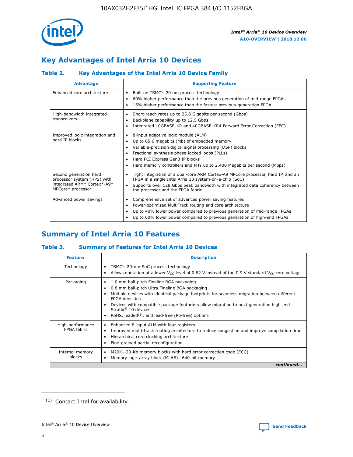

# **Key Advantages of Intel Arria 10 Devices**

## **Table 2. Key Advantages of the Intel Arria 10 Device Family**

| <b>Advantage</b>                                                                                          | <b>Supporting Feature</b>                                                                                                                                                                                                                                                                                                     |
|-----------------------------------------------------------------------------------------------------------|-------------------------------------------------------------------------------------------------------------------------------------------------------------------------------------------------------------------------------------------------------------------------------------------------------------------------------|
| Enhanced core architecture                                                                                | Built on TSMC's 20 nm process technology<br>٠<br>60% higher performance than the previous generation of mid-range FPGAs<br>٠<br>15% higher performance than the fastest previous-generation FPGA<br>٠                                                                                                                         |
| High-bandwidth integrated<br>transceivers                                                                 | Short-reach rates up to 25.8 Gigabits per second (Gbps)<br>٠<br>Backplane capability up to 12.5 Gbps<br>٠<br>Integrated 10GBASE-KR and 40GBASE-KR4 Forward Error Correction (FEC)<br>٠                                                                                                                                        |
| Improved logic integration and<br>hard IP blocks                                                          | 8-input adaptive logic module (ALM)<br>٠<br>Up to 65.6 megabits (Mb) of embedded memory<br>٠<br>Variable-precision digital signal processing (DSP) blocks<br>Fractional synthesis phase-locked loops (PLLs)<br>٠<br>Hard PCI Express Gen3 IP blocks<br>Hard memory controllers and PHY up to 2,400 Megabits per second (Mbps) |
| Second generation hard<br>processor system (HPS) with<br>integrated ARM* Cortex*-A9*<br>MPCore* processor | Tight integration of a dual-core ARM Cortex-A9 MPCore processor, hard IP, and an<br>٠<br>FPGA in a single Intel Arria 10 system-on-a-chip (SoC)<br>Supports over 128 Gbps peak bandwidth with integrated data coherency between<br>$\bullet$<br>the processor and the FPGA fabric                                             |
| Advanced power savings                                                                                    | Comprehensive set of advanced power saving features<br>٠<br>Power-optimized MultiTrack routing and core architecture<br>٠<br>Up to 40% lower power compared to previous generation of mid-range FPGAs<br>٠<br>Up to 60% lower power compared to previous generation of high-end FPGAs                                         |

# **Summary of Intel Arria 10 Features**

## **Table 3. Summary of Features for Intel Arria 10 Devices**

| <b>Feature</b>                  | <b>Description</b>                                                                                                                                                                                                                                                                                                                                                                                           |
|---------------------------------|--------------------------------------------------------------------------------------------------------------------------------------------------------------------------------------------------------------------------------------------------------------------------------------------------------------------------------------------------------------------------------------------------------------|
| Technology                      | TSMC's 20-nm SoC process technology<br>٠<br>Allows operation at a lower $V_{CC}$ level of 0.82 V instead of the 0.9 V standard $V_{CC}$ core voltage                                                                                                                                                                                                                                                         |
| Packaging                       | 1.0 mm ball-pitch Fineline BGA packaging<br>٠<br>0.8 mm ball-pitch Ultra Fineline BGA packaging<br>Multiple devices with identical package footprints for seamless migration between different<br><b>FPGA</b> densities<br>Devices with compatible package footprints allow migration to next generation high-end<br>Stratix <sup>®</sup> 10 devices<br>RoHS, leaded $(1)$ , and lead-free (Pb-free) options |
| High-performance<br>FPGA fabric | Enhanced 8-input ALM with four registers<br>Improved multi-track routing architecture to reduce congestion and improve compilation time<br>Hierarchical core clocking architecture<br>Fine-grained partial reconfiguration                                                                                                                                                                                   |
| Internal memory<br>blocks       | M20K-20-Kb memory blocks with hard error correction code (ECC)<br>٠<br>Memory logic array block (MLAB)-640-bit memory                                                                                                                                                                                                                                                                                        |
|                                 | continued                                                                                                                                                                                                                                                                                                                                                                                                    |



<sup>(1)</sup> Contact Intel for availability.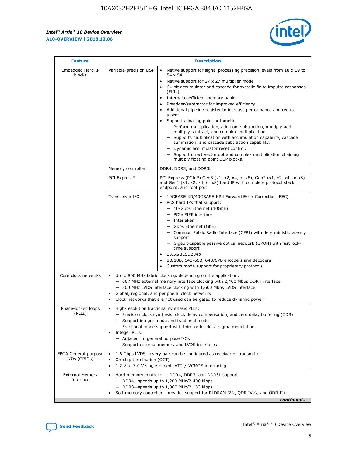$\mathsf{r}$ 



| <b>Feature</b>                         |                                                                                                                | <b>Description</b>                                                                                                                                                                                                                                                                                                                                                                                                                                                                                                                                                                                                                                                                                                                                                                                                                          |
|----------------------------------------|----------------------------------------------------------------------------------------------------------------|---------------------------------------------------------------------------------------------------------------------------------------------------------------------------------------------------------------------------------------------------------------------------------------------------------------------------------------------------------------------------------------------------------------------------------------------------------------------------------------------------------------------------------------------------------------------------------------------------------------------------------------------------------------------------------------------------------------------------------------------------------------------------------------------------------------------------------------------|
| Embedded Hard IP<br>blocks             | Variable-precision DSP                                                                                         | Native support for signal processing precision levels from $18 \times 19$ to<br>$\bullet$<br>54 x 54<br>Native support for 27 x 27 multiplier mode<br>64-bit accumulator and cascade for systolic finite impulse responses<br>(FIRs)<br>Internal coefficient memory banks<br>٠<br>Preadder/subtractor for improved efficiency<br>Additional pipeline register to increase performance and reduce<br>power<br>Supports floating point arithmetic:<br>- Perform multiplication, addition, subtraction, multiply-add,<br>multiply-subtract, and complex multiplication.<br>- Supports multiplication with accumulation capability, cascade<br>summation, and cascade subtraction capability.<br>- Dynamic accumulator reset control.<br>- Support direct vector dot and complex multiplication chaining<br>multiply floating point DSP blocks. |
|                                        | Memory controller                                                                                              | DDR4, DDR3, and DDR3L                                                                                                                                                                                                                                                                                                                                                                                                                                                                                                                                                                                                                                                                                                                                                                                                                       |
|                                        | PCI Express*                                                                                                   | PCI Express (PCIe*) Gen3 (x1, x2, x4, or x8), Gen2 (x1, x2, x4, or x8)<br>and Gen1 (x1, x2, x4, or x8) hard IP with complete protocol stack,<br>endpoint, and root port                                                                                                                                                                                                                                                                                                                                                                                                                                                                                                                                                                                                                                                                     |
|                                        | Transceiver I/O                                                                                                | 10GBASE-KR/40GBASE-KR4 Forward Error Correction (FEC)<br>PCS hard IPs that support:<br>- 10-Gbps Ethernet (10GbE)<br>- PCIe PIPE interface<br>- Interlaken<br>- Gbps Ethernet (GbE)<br>- Common Public Radio Interface (CPRI) with deterministic latency<br>support<br>- Gigabit-capable passive optical network (GPON) with fast lock-<br>time support<br>13.5G JESD204b<br>$\bullet$<br>8B/10B, 64B/66B, 64B/67B encoders and decoders<br>Custom mode support for proprietary protocols                                                                                                                                                                                                                                                                                                                                                   |
| Core clock networks                    | $\bullet$<br>$\bullet$                                                                                         | Up to 800 MHz fabric clocking, depending on the application:<br>- 667 MHz external memory interface clocking with 2,400 Mbps DDR4 interface<br>- 800 MHz LVDS interface clocking with 1,600 Mbps LVDS interface<br>Global, regional, and peripheral clock networks<br>Clock networks that are not used can be gated to reduce dynamic power                                                                                                                                                                                                                                                                                                                                                                                                                                                                                                 |
| Phase-locked loops<br>(PLLs)           | High-resolution fractional synthesis PLLs:<br>$\bullet$<br>Integer PLLs:<br>- Adjacent to general purpose I/Os | - Precision clock synthesis, clock delay compensation, and zero delay buffering (ZDB)<br>- Support integer mode and fractional mode<br>- Fractional mode support with third-order delta-sigma modulation<br>- Support external memory and LVDS interfaces                                                                                                                                                                                                                                                                                                                                                                                                                                                                                                                                                                                   |
| FPGA General-purpose<br>$I/Os$ (GPIOs) | On-chip termination (OCT)<br>$\bullet$                                                                         | 1.6 Gbps LVDS-every pair can be configured as receiver or transmitter<br>1.2 V to 3.0 V single-ended LVTTL/LVCMOS interfacing                                                                                                                                                                                                                                                                                                                                                                                                                                                                                                                                                                                                                                                                                                               |
| <b>External Memory</b><br>Interface    |                                                                                                                | Hard memory controller- DDR4, DDR3, and DDR3L support<br>$-$ DDR4 $-$ speeds up to 1,200 MHz/2,400 Mbps<br>- DDR3-speeds up to 1,067 MHz/2,133 Mbps<br>Soft memory controller—provides support for RLDRAM $3^{(2)}$ , QDR IV $(2^2)$ , and QDR II+<br>continued                                                                                                                                                                                                                                                                                                                                                                                                                                                                                                                                                                             |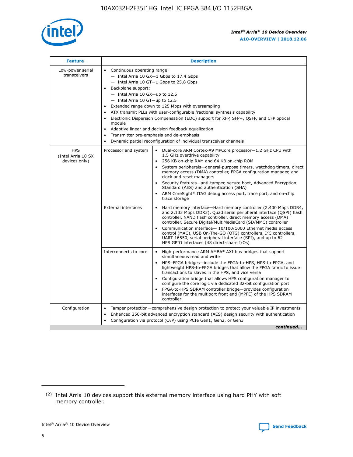

| <b>Feature</b>                                    | <b>Description</b>                                                                                                                                                                                                                                                                                                                                                                                                                                                                                                                                                                                                                                  |
|---------------------------------------------------|-----------------------------------------------------------------------------------------------------------------------------------------------------------------------------------------------------------------------------------------------------------------------------------------------------------------------------------------------------------------------------------------------------------------------------------------------------------------------------------------------------------------------------------------------------------------------------------------------------------------------------------------------------|
| Low-power serial<br>transceivers                  | • Continuous operating range:<br>- Intel Arria 10 GX-1 Gbps to 17.4 Gbps<br>- Intel Arria 10 GT-1 Gbps to 25.8 Gbps<br>Backplane support:<br>- Intel Arria 10 GX-up to 12.5<br>- Intel Arria 10 GT-up to 12.5<br>Extended range down to 125 Mbps with oversampling<br>ATX transmit PLLs with user-configurable fractional synthesis capability<br>Electronic Dispersion Compensation (EDC) support for XFP, SFP+, QSFP, and CFP optical<br>module<br>Adaptive linear and decision feedback equalization<br>$\bullet$<br>Transmitter pre-emphasis and de-emphasis<br>$\bullet$<br>Dynamic partial reconfiguration of individual transceiver channels |
| <b>HPS</b><br>(Intel Arria 10 SX<br>devices only) | Dual-core ARM Cortex-A9 MPCore processor-1.2 GHz CPU with<br>Processor and system<br>$\bullet$<br>1.5 GHz overdrive capability<br>256 KB on-chip RAM and 64 KB on-chip ROM<br>System peripherals—general-purpose timers, watchdog timers, direct<br>memory access (DMA) controller, FPGA configuration manager, and<br>clock and reset managers<br>Security features-anti-tamper, secure boot, Advanced Encryption<br>Standard (AES) and authentication (SHA)<br>ARM CoreSight* JTAG debug access port, trace port, and on-chip<br>trace storage                                                                                                    |
|                                                   | <b>External interfaces</b><br>Hard memory interface-Hard memory controller (2,400 Mbps DDR4,<br>$\bullet$<br>and 2,133 Mbps DDR3), Quad serial peripheral interface (QSPI) flash<br>controller, NAND flash controller, direct memory access (DMA)<br>controller, Secure Digital/MultiMediaCard (SD/MMC) controller<br>Communication interface-10/100/1000 Ethernet media access<br>control (MAC), USB On-The-GO (OTG) controllers, I <sup>2</sup> C controllers,<br>UART 16550, serial peripheral interface (SPI), and up to 62<br>HPS GPIO interfaces (48 direct-share I/Os)                                                                       |
|                                                   | High-performance ARM AMBA* AXI bus bridges that support<br>Interconnects to core<br>$\bullet$<br>simultaneous read and write<br>HPS-FPGA bridges-include the FPGA-to-HPS, HPS-to-FPGA, and<br>$\bullet$<br>lightweight HPS-to-FPGA bridges that allow the FPGA fabric to issue<br>transactions to slaves in the HPS, and vice versa<br>Configuration bridge that allows HPS configuration manager to<br>configure the core logic via dedicated 32-bit configuration port<br>FPGA-to-HPS SDRAM controller bridge-provides configuration<br>interfaces for the multiport front end (MPFE) of the HPS SDRAM<br>controller                              |
| Configuration                                     | Tamper protection—comprehensive design protection to protect your valuable IP investments<br>Enhanced 256-bit advanced encryption standard (AES) design security with authentication<br>٠<br>Configuration via protocol (CvP) using PCIe Gen1, Gen2, or Gen3<br>continued                                                                                                                                                                                                                                                                                                                                                                           |

<sup>(2)</sup> Intel Arria 10 devices support this external memory interface using hard PHY with soft memory controller.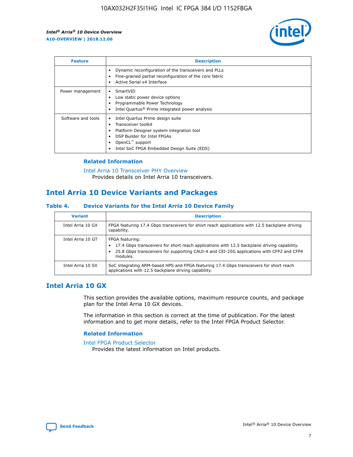

| <b>Feature</b>     | <b>Description</b>                                                                                                                                                                                               |
|--------------------|------------------------------------------------------------------------------------------------------------------------------------------------------------------------------------------------------------------|
|                    | Dynamic reconfiguration of the transceivers and PLLs<br>Fine-grained partial reconfiguration of the core fabric<br>Active Serial x4 Interface<br>$\bullet$                                                       |
| Power management   | SmartVID<br>Low static power device options<br>Programmable Power Technology<br>Intel Quartus <sup>®</sup> Prime integrated power analysis                                                                       |
| Software and tools | Intel Quartus Prime design suite<br>Transceiver toolkit<br>Platform Designer system integration tool<br>DSP Builder for Intel FPGAs<br>OpenCL <sup>™</sup> support<br>Intel SoC FPGA Embedded Design Suite (EDS) |

## **Related Information**

[Intel Arria 10 Transceiver PHY Overview](https://www.intel.com/content/www/us/en/programmable/documentation/nik1398707230472.html#nik1398706768037) Provides details on Intel Arria 10 transceivers.

# **Intel Arria 10 Device Variants and Packages**

#### **Table 4. Device Variants for the Intel Arria 10 Device Family**

| <b>Variant</b>    | <b>Description</b>                                                                                                                                                                                                     |
|-------------------|------------------------------------------------------------------------------------------------------------------------------------------------------------------------------------------------------------------------|
| Intel Arria 10 GX | FPGA featuring 17.4 Gbps transceivers for short reach applications with 12.5 backplane driving<br>capability.                                                                                                          |
| Intel Arria 10 GT | FPGA featuring:<br>17.4 Gbps transceivers for short reach applications with 12.5 backplane driving capability.<br>25.8 Gbps transceivers for supporting CAUI-4 and CEI-25G applications with CFP2 and CFP4<br>modules. |
| Intel Arria 10 SX | SoC integrating ARM-based HPS and FPGA featuring 17.4 Gbps transceivers for short reach<br>applications with 12.5 backplane driving capability.                                                                        |

## **Intel Arria 10 GX**

This section provides the available options, maximum resource counts, and package plan for the Intel Arria 10 GX devices.

The information in this section is correct at the time of publication. For the latest information and to get more details, refer to the Intel FPGA Product Selector.

## **Related Information**

#### [Intel FPGA Product Selector](http://www.altera.com/products/selector/psg-selector.html) Provides the latest information on Intel products.

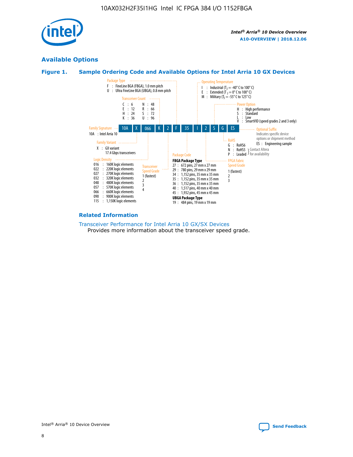

## **Available Options**





#### **Related Information**

[Transceiver Performance for Intel Arria 10 GX/SX Devices](https://www.intel.com/content/www/us/en/programmable/documentation/mcn1413182292568.html#mcn1413213965502) Provides more information about the transceiver speed grade.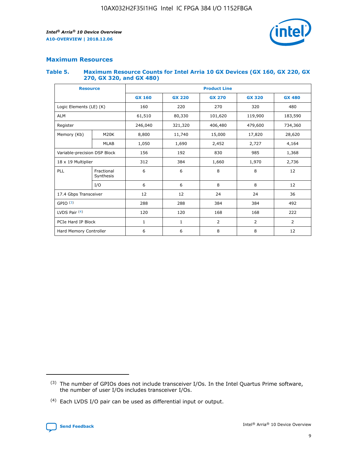

## **Maximum Resources**

#### **Table 5. Maximum Resource Counts for Intel Arria 10 GX Devices (GX 160, GX 220, GX 270, GX 320, and GX 480)**

| <b>Resource</b>              |                         | <b>Product Line</b> |                                                 |                |                |                |  |  |  |
|------------------------------|-------------------------|---------------------|-------------------------------------------------|----------------|----------------|----------------|--|--|--|
|                              |                         | <b>GX 160</b>       | <b>GX 220</b><br><b>GX 270</b><br><b>GX 320</b> |                |                | <b>GX 480</b>  |  |  |  |
| Logic Elements (LE) (K)      |                         | 160                 | 220                                             | 270            | 320            | 480            |  |  |  |
| <b>ALM</b>                   |                         | 61,510              | 80,330                                          | 101,620        | 119,900        | 183,590        |  |  |  |
| Register                     |                         | 246,040             | 321,320                                         | 406,480        |                | 734,360        |  |  |  |
| Memory (Kb)                  | M <sub>20</sub> K       | 8,800               | 11,740<br>15,000                                |                | 17,820         | 28,620         |  |  |  |
| <b>MLAB</b>                  |                         | 1,050               | 1,690<br>2,452                                  |                | 2,727          | 4,164          |  |  |  |
| Variable-precision DSP Block |                         | 156                 | 985<br>192<br>830                               |                |                | 1,368          |  |  |  |
| 18 x 19 Multiplier           |                         | 312                 | 384                                             | 1,660<br>1,970 |                | 2,736          |  |  |  |
| PLL                          | Fractional<br>Synthesis | 6                   | 6                                               | 8              | 8              | 12             |  |  |  |
|                              | I/O                     | 6                   | 6                                               | 8              | 8              | 12             |  |  |  |
| 17.4 Gbps Transceiver        |                         | 12                  | 12                                              | 24             | 24             |                |  |  |  |
| GPIO <sup>(3)</sup>          |                         | 288                 | 288<br>384<br>384                               |                |                | 492            |  |  |  |
| LVDS Pair $(4)$              |                         | 120                 | 120                                             | 168            | 168            | 222            |  |  |  |
| PCIe Hard IP Block           |                         | $\mathbf{1}$        | 1                                               | $\overline{2}$ | $\overline{2}$ | $\overline{2}$ |  |  |  |
| Hard Memory Controller       |                         | 6                   | 6                                               | 8              | 8              | 12             |  |  |  |

<sup>(4)</sup> Each LVDS I/O pair can be used as differential input or output.



<sup>(3)</sup> The number of GPIOs does not include transceiver I/Os. In the Intel Quartus Prime software, the number of user I/Os includes transceiver I/Os.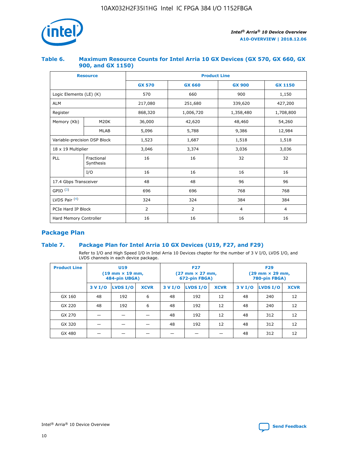

## **Table 6. Maximum Resource Counts for Intel Arria 10 GX Devices (GX 570, GX 660, GX 900, and GX 1150)**

|                              | <b>Resource</b>         | <b>Product Line</b> |                |                |                |  |  |  |  |
|------------------------------|-------------------------|---------------------|----------------|----------------|----------------|--|--|--|--|
|                              |                         | <b>GX 570</b>       | <b>GX 660</b>  | <b>GX 900</b>  | <b>GX 1150</b> |  |  |  |  |
| Logic Elements (LE) (K)      |                         | 570                 | 660            | 900            | 1,150          |  |  |  |  |
| <b>ALM</b>                   |                         | 217,080             | 251,680        | 339,620        | 427,200        |  |  |  |  |
| Register                     |                         | 868,320             | 1,006,720      | 1,358,480      | 1,708,800      |  |  |  |  |
| Memory (Kb)                  | <b>M20K</b>             | 36,000              | 42,620         | 48,460         | 54,260         |  |  |  |  |
|                              | <b>MLAB</b>             | 5,096               | 5,788          | 9,386          | 12,984         |  |  |  |  |
| Variable-precision DSP Block |                         | 1,523               | 1,687          | 1,518          | 1,518          |  |  |  |  |
| $18 \times 19$ Multiplier    |                         | 3,046               | 3,374          | 3,036          | 3,036          |  |  |  |  |
| PLL                          | Fractional<br>Synthesis | 16                  | 16             | 32             | 32             |  |  |  |  |
|                              | I/O                     | 16                  | 16             | 16             | 16             |  |  |  |  |
| 17.4 Gbps Transceiver        |                         | 48                  | 48             | 96             | 96             |  |  |  |  |
| GPIO <sup>(3)</sup>          |                         | 696                 | 696            | 768            | 768            |  |  |  |  |
| LVDS Pair $(4)$              |                         | 324                 | 324            | 384            | 384            |  |  |  |  |
| PCIe Hard IP Block           |                         | 2                   | $\overline{2}$ | $\overline{4}$ | 4              |  |  |  |  |
| Hard Memory Controller       |                         | 16                  | 16             | 16             | 16             |  |  |  |  |

## **Package Plan**

## **Table 7. Package Plan for Intel Arria 10 GX Devices (U19, F27, and F29)**

Refer to I/O and High Speed I/O in Intel Arria 10 Devices chapter for the number of 3 V I/O, LVDS I/O, and LVDS channels in each device package.

| <b>Product Line</b> | <b>U19</b><br>$(19 \text{ mm} \times 19 \text{ mm})$<br>484-pin UBGA) |          |             |         | <b>F27</b><br>(27 mm × 27 mm,<br>672-pin FBGA) |             | <b>F29</b><br>(29 mm × 29 mm,<br>780-pin FBGA) |          |             |  |
|---------------------|-----------------------------------------------------------------------|----------|-------------|---------|------------------------------------------------|-------------|------------------------------------------------|----------|-------------|--|
|                     | 3 V I/O                                                               | LVDS I/O | <b>XCVR</b> | 3 V I/O | <b>LVDS I/O</b>                                | <b>XCVR</b> | 3 V I/O                                        | LVDS I/O | <b>XCVR</b> |  |
| GX 160              | 48                                                                    | 192      | 6           | 48      | 192                                            | 12          | 48                                             | 240      | 12          |  |
| GX 220              | 48                                                                    | 192      | 6           | 48      | 192                                            | 12          | 48                                             | 240      | 12          |  |
| GX 270              |                                                                       |          |             | 48      | 192                                            | 12          | 48                                             | 312      | 12          |  |
| GX 320              |                                                                       |          |             | 48      | 192                                            | 12          | 48                                             | 312      | 12          |  |
| GX 480              |                                                                       |          |             |         |                                                |             | 48                                             | 312      | 12          |  |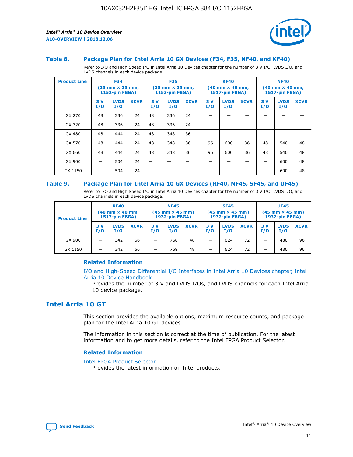



#### **Table 8. Package Plan for Intel Arria 10 GX Devices (F34, F35, NF40, and KF40)**

Refer to I/O and High Speed I/O in Intel Arria 10 Devices chapter for the number of 3 V I/O, LVDS I/O, and LVDS channels in each device package.

| <b>Product Line</b> | <b>F34</b><br>(35 mm × 35 mm,<br><b>1152-pin FBGA)</b> |                    | <b>F35</b><br>$(35$ mm $\times$ 35 mm,<br><b>1152-pin FBGA)</b> |           | <b>KF40</b><br>$(40 \text{ mm} \times 40 \text{ mm})$<br>1517-pin FBGA) |             |           | <b>NF40</b><br>$(40 \text{ mm} \times 40 \text{ mm})$<br><b>1517-pin FBGA)</b> |             |           |                    |             |
|---------------------|--------------------------------------------------------|--------------------|-----------------------------------------------------------------|-----------|-------------------------------------------------------------------------|-------------|-----------|--------------------------------------------------------------------------------|-------------|-----------|--------------------|-------------|
|                     | 3V<br>I/O                                              | <b>LVDS</b><br>I/O | <b>XCVR</b>                                                     | 3V<br>I/O | <b>LVDS</b><br>I/O                                                      | <b>XCVR</b> | 3V<br>I/O | <b>LVDS</b><br>I/O                                                             | <b>XCVR</b> | 3V<br>I/O | <b>LVDS</b><br>I/O | <b>XCVR</b> |
| GX 270              | 48                                                     | 336                | 24                                                              | 48        | 336                                                                     | 24          |           |                                                                                |             |           |                    |             |
| GX 320              | 48                                                     | 336                | 24                                                              | 48        | 336                                                                     | 24          |           |                                                                                |             |           |                    |             |
| GX 480              | 48                                                     | 444                | 24                                                              | 48        | 348                                                                     | 36          |           |                                                                                |             |           |                    |             |
| GX 570              | 48                                                     | 444                | 24                                                              | 48        | 348                                                                     | 36          | 96        | 600                                                                            | 36          | 48        | 540                | 48          |
| GX 660              | 48                                                     | 444                | 24                                                              | 48        | 348                                                                     | 36          | 96        | 600                                                                            | 36          | 48        | 540                | 48          |
| GX 900              |                                                        | 504                | 24                                                              | -         |                                                                         | -           |           |                                                                                |             |           | 600                | 48          |
| GX 1150             |                                                        | 504                | 24                                                              |           |                                                                         |             |           |                                                                                |             |           | 600                | 48          |

#### **Table 9. Package Plan for Intel Arria 10 GX Devices (RF40, NF45, SF45, and UF45)**

Refer to I/O and High Speed I/O in Intel Arria 10 Devices chapter for the number of 3 V I/O, LVDS I/O, and LVDS channels in each device package.

| <b>Product Line</b> | <b>RF40</b><br>$(40$ mm $\times$ 40 mm,<br>1517-pin FBGA) |                    | <b>NF45</b><br>$(45 \text{ mm} \times 45 \text{ mm})$<br><b>1932-pin FBGA)</b> |            |                    | <b>SF45</b><br>$(45 \text{ mm} \times 45 \text{ mm})$<br><b>1932-pin FBGA)</b> |            |                    | <b>UF45</b><br>$(45 \text{ mm} \times 45 \text{ mm})$<br><b>1932-pin FBGA)</b> |           |                    |             |
|---------------------|-----------------------------------------------------------|--------------------|--------------------------------------------------------------------------------|------------|--------------------|--------------------------------------------------------------------------------|------------|--------------------|--------------------------------------------------------------------------------|-----------|--------------------|-------------|
|                     | 3V<br>I/O                                                 | <b>LVDS</b><br>I/O | <b>XCVR</b>                                                                    | 3 V<br>I/O | <b>LVDS</b><br>I/O | <b>XCVR</b>                                                                    | 3 V<br>I/O | <b>LVDS</b><br>I/O | <b>XCVR</b>                                                                    | 3V<br>I/O | <b>LVDS</b><br>I/O | <b>XCVR</b> |
| GX 900              |                                                           | 342                | 66                                                                             | _          | 768                | 48                                                                             |            | 624                | 72                                                                             |           | 480                | 96          |
| GX 1150             |                                                           | 342                | 66                                                                             | _          | 768                | 48                                                                             |            | 624                | 72                                                                             |           | 480                | 96          |

## **Related Information**

[I/O and High-Speed Differential I/O Interfaces in Intel Arria 10 Devices chapter, Intel](https://www.intel.com/content/www/us/en/programmable/documentation/sam1403482614086.html#sam1403482030321) [Arria 10 Device Handbook](https://www.intel.com/content/www/us/en/programmable/documentation/sam1403482614086.html#sam1403482030321)

Provides the number of 3 V and LVDS I/Os, and LVDS channels for each Intel Arria 10 device package.

## **Intel Arria 10 GT**

This section provides the available options, maximum resource counts, and package plan for the Intel Arria 10 GT devices.

The information in this section is correct at the time of publication. For the latest information and to get more details, refer to the Intel FPGA Product Selector.

#### **Related Information**

#### [Intel FPGA Product Selector](http://www.altera.com/products/selector/psg-selector.html)

Provides the latest information on Intel products.

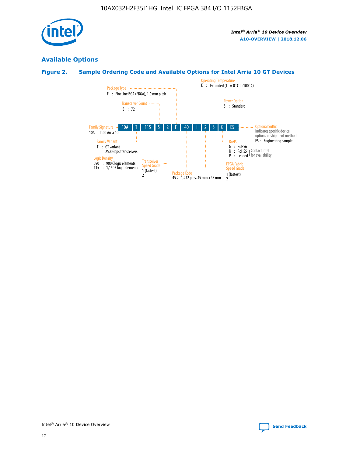

## **Available Options**

## **Figure 2. Sample Ordering Code and Available Options for Intel Arria 10 GT Devices**

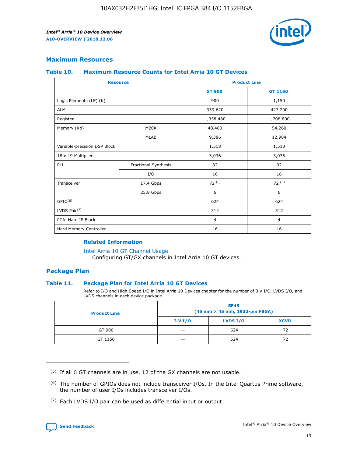

## **Maximum Resources**

#### **Table 10. Maximum Resource Counts for Intel Arria 10 GT Devices**

| <b>Resource</b>              |                      |                | <b>Product Line</b> |  |
|------------------------------|----------------------|----------------|---------------------|--|
|                              |                      | <b>GT 900</b>  | <b>GT 1150</b>      |  |
| Logic Elements (LE) (K)      |                      | 900            | 1,150               |  |
| <b>ALM</b>                   |                      | 339,620        | 427,200             |  |
| Register                     |                      | 1,358,480      | 1,708,800           |  |
| Memory (Kb)                  | M20K                 | 48,460         | 54,260              |  |
|                              | <b>MLAB</b>          | 9,386          | 12,984              |  |
| Variable-precision DSP Block |                      | 1,518          | 1,518               |  |
| 18 x 19 Multiplier           |                      | 3,036          | 3,036               |  |
| <b>PLL</b>                   | Fractional Synthesis | 32             | 32                  |  |
|                              | I/O                  | 16             | 16                  |  |
| Transceiver                  | 17.4 Gbps            | 72(5)          | 72(5)               |  |
|                              | 25.8 Gbps            | 6              | 6                   |  |
| GPIO <sup>(6)</sup>          |                      | 624            | 624                 |  |
| LVDS Pair $(7)$              |                      | 312            | 312                 |  |
| PCIe Hard IP Block           |                      | $\overline{4}$ | $\overline{4}$      |  |
| Hard Memory Controller       |                      | 16             | 16                  |  |

## **Related Information**

#### [Intel Arria 10 GT Channel Usage](https://www.intel.com/content/www/us/en/programmable/documentation/nik1398707230472.html#nik1398707008178)

Configuring GT/GX channels in Intel Arria 10 GT devices.

## **Package Plan**

#### **Table 11. Package Plan for Intel Arria 10 GT Devices**

Refer to I/O and High Speed I/O in Intel Arria 10 Devices chapter for the number of 3 V I/O, LVDS I/O, and LVDS channels in each device package.

| <b>Product Line</b> | <b>SF45</b><br>(45 mm × 45 mm, 1932-pin FBGA) |                 |             |  |  |  |
|---------------------|-----------------------------------------------|-----------------|-------------|--|--|--|
|                     | 3 V I/O                                       | <b>LVDS I/O</b> | <b>XCVR</b> |  |  |  |
| GT 900              |                                               | 624             | 72          |  |  |  |
| GT 1150             |                                               | 624             | 72          |  |  |  |

<sup>(7)</sup> Each LVDS I/O pair can be used as differential input or output.



 $(5)$  If all 6 GT channels are in use, 12 of the GX channels are not usable.

<sup>(6)</sup> The number of GPIOs does not include transceiver I/Os. In the Intel Quartus Prime software, the number of user I/Os includes transceiver I/Os.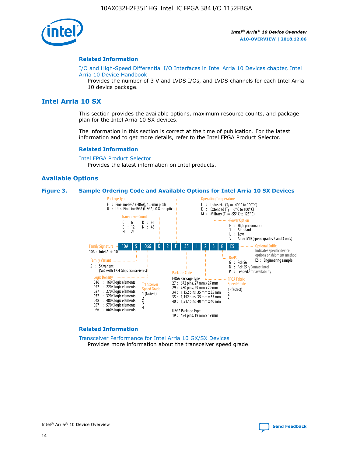

#### **Related Information**

[I/O and High-Speed Differential I/O Interfaces in Intel Arria 10 Devices chapter, Intel](https://www.intel.com/content/www/us/en/programmable/documentation/sam1403482614086.html#sam1403482030321) [Arria 10 Device Handbook](https://www.intel.com/content/www/us/en/programmable/documentation/sam1403482614086.html#sam1403482030321)

Provides the number of 3 V and LVDS I/Os, and LVDS channels for each Intel Arria 10 device package.

## **Intel Arria 10 SX**

This section provides the available options, maximum resource counts, and package plan for the Intel Arria 10 SX devices.

The information in this section is correct at the time of publication. For the latest information and to get more details, refer to the Intel FPGA Product Selector.

#### **Related Information**

[Intel FPGA Product Selector](http://www.altera.com/products/selector/psg-selector.html) Provides the latest information on Intel products.

## **Available Options**

#### **Figure 3. Sample Ordering Code and Available Options for Intel Arria 10 SX Devices**



#### **Related Information**

[Transceiver Performance for Intel Arria 10 GX/SX Devices](https://www.intel.com/content/www/us/en/programmable/documentation/mcn1413182292568.html#mcn1413213965502) Provides more information about the transceiver speed grade.

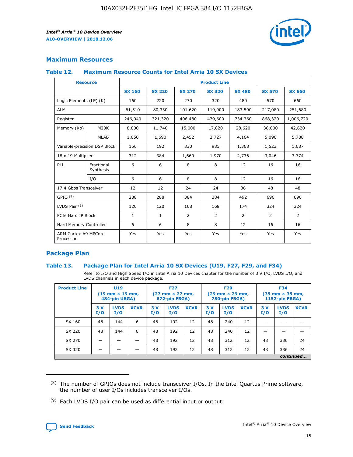

## **Maximum Resources**

## **Table 12. Maximum Resource Counts for Intel Arria 10 SX Devices**

| <b>Resource</b>                   |                         | <b>Product Line</b> |               |               |                |               |               |               |  |  |  |
|-----------------------------------|-------------------------|---------------------|---------------|---------------|----------------|---------------|---------------|---------------|--|--|--|
|                                   |                         | <b>SX 160</b>       | <b>SX 220</b> | <b>SX 270</b> | <b>SX 320</b>  | <b>SX 480</b> | <b>SX 570</b> | <b>SX 660</b> |  |  |  |
| Logic Elements (LE) (K)           |                         | 160                 | 220           | 270           | 320            | 480           | 570           | 660           |  |  |  |
| <b>ALM</b>                        |                         | 61,510              | 80,330        | 101,620       | 119,900        | 183,590       | 217,080       | 251,680       |  |  |  |
| Register                          |                         | 246,040             | 321,320       | 406,480       | 479,600        | 734,360       | 868,320       | 1,006,720     |  |  |  |
| Memory (Kb)                       | M20K                    | 8,800               | 11,740        | 15,000        | 17,820         | 28,620        | 36,000        | 42,620        |  |  |  |
|                                   | <b>MLAB</b>             | 1,050               | 1,690         | 2,452         | 2,727          | 4,164         | 5,096         | 5,788         |  |  |  |
| Variable-precision DSP Block      |                         | 156                 | 192           | 830           | 985            | 1,368         | 1,523         | 1,687         |  |  |  |
| 18 x 19 Multiplier                |                         | 312                 | 384           | 1,660         | 1,970          | 2,736         | 3,046         | 3,374         |  |  |  |
| PLL                               | Fractional<br>Synthesis | 6                   | 6             | 8             | 8              | 12            | 16            | 16            |  |  |  |
|                                   | I/O                     | 6                   | 6             | 8             | 8              | 12            | 16            | 16            |  |  |  |
| 17.4 Gbps Transceiver             |                         | 12                  | 12            | 24            | 24             | 36            | 48            | 48            |  |  |  |
| GPIO <sup>(8)</sup>               |                         | 288                 | 288           | 384           | 384            | 492           | 696           | 696           |  |  |  |
| LVDS Pair $(9)$                   |                         | 120                 | 120           | 168           | 168            | 174           | 324           | 324           |  |  |  |
|                                   | PCIe Hard IP Block      |                     | $\mathbf{1}$  | 2             | $\overline{2}$ | 2             | 2             | 2             |  |  |  |
| Hard Memory Controller            |                         | 6                   | 6             | 8             | 8              | 12            | 16            | 16            |  |  |  |
| ARM Cortex-A9 MPCore<br>Processor |                         | Yes                 | Yes           | Yes           | Yes            | Yes           | Yes           | Yes           |  |  |  |

## **Package Plan**

## **Table 13. Package Plan for Intel Arria 10 SX Devices (U19, F27, F29, and F34)**

Refer to I/O and High Speed I/O in Intel Arria 10 Devices chapter for the number of 3 V I/O, LVDS I/O, and LVDS channels in each device package.

| <b>Product Line</b> | <b>U19</b><br>$(19 \text{ mm} \times 19 \text{ mm})$<br>484-pin UBGA) |                    |             | <b>F27</b><br>$(27 \text{ mm} \times 27 \text{ mm})$<br>672-pin FBGA) |                    | <b>F29</b><br>$(29 \text{ mm} \times 29 \text{ mm})$<br>780-pin FBGA) |           |                    | <b>F34</b><br>$(35 \text{ mm} \times 35 \text{ mm})$<br><b>1152-pin FBGA)</b> |           |                    |             |
|---------------------|-----------------------------------------------------------------------|--------------------|-------------|-----------------------------------------------------------------------|--------------------|-----------------------------------------------------------------------|-----------|--------------------|-------------------------------------------------------------------------------|-----------|--------------------|-------------|
|                     | 3V<br>I/O                                                             | <b>LVDS</b><br>I/O | <b>XCVR</b> | 3V<br>I/O                                                             | <b>LVDS</b><br>I/O | <b>XCVR</b>                                                           | 3V<br>I/O | <b>LVDS</b><br>I/O | <b>XCVR</b>                                                                   | 3V<br>I/O | <b>LVDS</b><br>I/O | <b>XCVR</b> |
| SX 160              | 48                                                                    | 144                | 6           | 48                                                                    | 192                | 12                                                                    | 48        | 240                | 12                                                                            | -         |                    |             |
| SX 220              | 48                                                                    | 144                | 6           | 48                                                                    | 192                | 12                                                                    | 48        | 240                | 12                                                                            |           |                    |             |
| SX 270              |                                                                       |                    |             | 48                                                                    | 192                | 12                                                                    | 48        | 312                | 12                                                                            | 48        | 336                | 24          |
| SX 320              |                                                                       |                    |             | 48                                                                    | 192                | 12                                                                    | 48        | 312                | 12                                                                            | 48        | 336                | 24          |
|                     | continued                                                             |                    |             |                                                                       |                    |                                                                       |           |                    |                                                                               |           |                    |             |

 $(8)$  The number of GPIOs does not include transceiver I/Os. In the Intel Quartus Prime software, the number of user I/Os includes transceiver I/Os.

 $(9)$  Each LVDS I/O pair can be used as differential input or output.

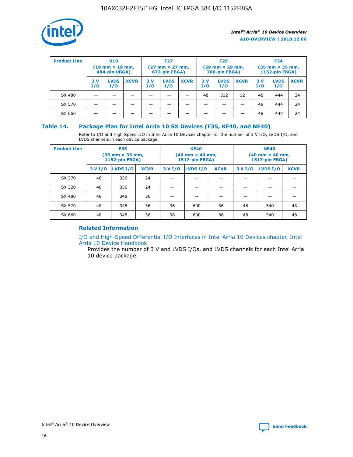

| <b>Product Line</b> |            | U <sub>19</sub><br>$(19 \text{ mm} \times 19 \text{ mm})$<br>484-pin UBGA) |             | <b>F27</b><br>$(27 \text{ mm} \times 27 \text{ mm})$<br>672-pin FBGA) |                    | <b>F29</b><br>$(29 \text{ mm} \times 29 \text{ mm})$<br>780-pin FBGA) |           |                    | <b>F34</b><br>$(35 \text{ mm} \times 35 \text{ mm})$<br><b>1152-pin FBGA)</b> |           |                    |             |
|---------------------|------------|----------------------------------------------------------------------------|-------------|-----------------------------------------------------------------------|--------------------|-----------------------------------------------------------------------|-----------|--------------------|-------------------------------------------------------------------------------|-----------|--------------------|-------------|
|                     | 3 V<br>I/O | <b>LVDS</b><br>I/O                                                         | <b>XCVR</b> | 3V<br>I/O                                                             | <b>LVDS</b><br>I/O | <b>XCVR</b>                                                           | 3V<br>I/O | <b>LVDS</b><br>I/O | <b>XCVR</b>                                                                   | 3V<br>I/O | <b>LVDS</b><br>I/O | <b>XCVR</b> |
| SX 480              |            |                                                                            |             |                                                                       |                    |                                                                       | 48        | 312                | 12                                                                            | 48        | 444                | 24          |
| SX 570              |            |                                                                            |             |                                                                       |                    |                                                                       |           |                    |                                                                               | 48        | 444                | 24          |
| SX 660              |            |                                                                            |             |                                                                       |                    |                                                                       |           |                    |                                                                               | 48        | 444                | 24          |

## **Table 14. Package Plan for Intel Arria 10 SX Devices (F35, KF40, and NF40)**

Refer to I/O and High Speed I/O in Intel Arria 10 Devices chapter for the number of 3 V I/O, LVDS I/O, and LVDS channels in each device package.

| <b>Product Line</b> | <b>F35</b><br>(35 mm × 35 mm,<br><b>1152-pin FBGA)</b> |          |             |                                           | <b>KF40</b><br>(40 mm × 40 mm,<br>1517-pin FBGA) |    | <b>NF40</b><br>$(40 \text{ mm} \times 40 \text{ mm})$<br><b>1517-pin FBGA)</b> |          |             |  |
|---------------------|--------------------------------------------------------|----------|-------------|-------------------------------------------|--------------------------------------------------|----|--------------------------------------------------------------------------------|----------|-------------|--|
|                     | 3 V I/O                                                | LVDS I/O | <b>XCVR</b> | <b>LVDS I/O</b><br><b>XCVR</b><br>3 V I/O |                                                  |    | 3 V I/O                                                                        | LVDS I/O | <b>XCVR</b> |  |
| SX 270              | 48                                                     | 336      | 24          |                                           |                                                  |    |                                                                                |          |             |  |
| SX 320              | 48                                                     | 336      | 24          |                                           |                                                  |    |                                                                                |          |             |  |
| SX 480              | 48                                                     | 348      | 36          |                                           |                                                  |    |                                                                                |          |             |  |
| SX 570              | 48                                                     | 348      | 36          | 96                                        | 600                                              | 36 | 48                                                                             | 540      | 48          |  |
| SX 660              | 48                                                     | 348      | 36          | 96                                        | 600                                              | 36 | 48                                                                             | 540      | 48          |  |

## **Related Information**

[I/O and High-Speed Differential I/O Interfaces in Intel Arria 10 Devices chapter, Intel](https://www.intel.com/content/www/us/en/programmable/documentation/sam1403482614086.html#sam1403482030321) [Arria 10 Device Handbook](https://www.intel.com/content/www/us/en/programmable/documentation/sam1403482614086.html#sam1403482030321)

Provides the number of 3 V and LVDS I/Os, and LVDS channels for each Intel Arria 10 device package.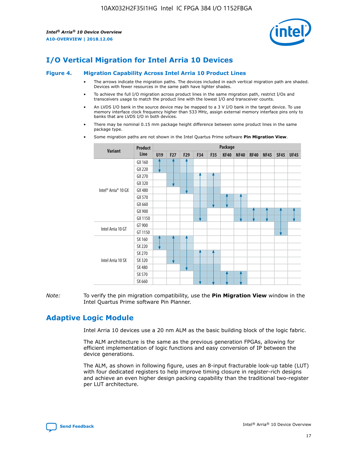

# **I/O Vertical Migration for Intel Arria 10 Devices**

#### **Figure 4. Migration Capability Across Intel Arria 10 Product Lines**

- The arrows indicate the migration paths. The devices included in each vertical migration path are shaded. Devices with fewer resources in the same path have lighter shades.
- To achieve the full I/O migration across product lines in the same migration path, restrict I/Os and transceivers usage to match the product line with the lowest I/O and transceiver counts.
- An LVDS I/O bank in the source device may be mapped to a 3 V I/O bank in the target device. To use memory interface clock frequency higher than 533 MHz, assign external memory interface pins only to banks that are LVDS I/O in both devices.
- There may be nominal 0.15 mm package height difference between some product lines in the same package type.
	- **Variant Product Line Package U19 F27 F29 F34 F35 KF40 NF40 RF40 NF45 SF45 UF45** Intel® Arria® 10 GX GX 160 GX 220 GX 270 GX 320 GX 480 GX 570 GX 660 GX 900 GX 1150 Intel Arria 10 GT GT 900 GT 1150 Intel Arria 10 SX SX 160 SX 220 SX 270 SX 320 SX 480 SX 570 SX 660
- Some migration paths are not shown in the Intel Quartus Prime software **Pin Migration View**.

*Note:* To verify the pin migration compatibility, use the **Pin Migration View** window in the Intel Quartus Prime software Pin Planner.

# **Adaptive Logic Module**

Intel Arria 10 devices use a 20 nm ALM as the basic building block of the logic fabric.

The ALM architecture is the same as the previous generation FPGAs, allowing for efficient implementation of logic functions and easy conversion of IP between the device generations.

The ALM, as shown in following figure, uses an 8-input fracturable look-up table (LUT) with four dedicated registers to help improve timing closure in register-rich designs and achieve an even higher design packing capability than the traditional two-register per LUT architecture.

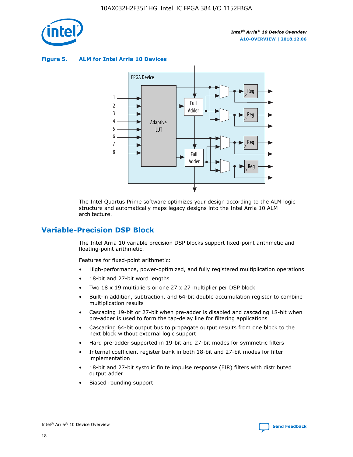

**Figure 5. ALM for Intel Arria 10 Devices**



The Intel Quartus Prime software optimizes your design according to the ALM logic structure and automatically maps legacy designs into the Intel Arria 10 ALM architecture.

## **Variable-Precision DSP Block**

The Intel Arria 10 variable precision DSP blocks support fixed-point arithmetic and floating-point arithmetic.

Features for fixed-point arithmetic:

- High-performance, power-optimized, and fully registered multiplication operations
- 18-bit and 27-bit word lengths
- Two 18 x 19 multipliers or one 27 x 27 multiplier per DSP block
- Built-in addition, subtraction, and 64-bit double accumulation register to combine multiplication results
- Cascading 19-bit or 27-bit when pre-adder is disabled and cascading 18-bit when pre-adder is used to form the tap-delay line for filtering applications
- Cascading 64-bit output bus to propagate output results from one block to the next block without external logic support
- Hard pre-adder supported in 19-bit and 27-bit modes for symmetric filters
- Internal coefficient register bank in both 18-bit and 27-bit modes for filter implementation
- 18-bit and 27-bit systolic finite impulse response (FIR) filters with distributed output adder
- Biased rounding support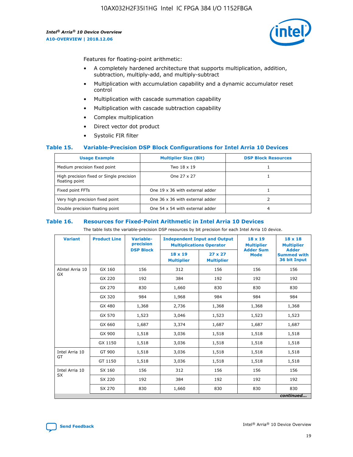

Features for floating-point arithmetic:

- A completely hardened architecture that supports multiplication, addition, subtraction, multiply-add, and multiply-subtract
- Multiplication with accumulation capability and a dynamic accumulator reset control
- Multiplication with cascade summation capability
- Multiplication with cascade subtraction capability
- Complex multiplication
- Direct vector dot product
- Systolic FIR filter

## **Table 15. Variable-Precision DSP Block Configurations for Intel Arria 10 Devices**

| <b>Usage Example</b>                                       | <b>Multiplier Size (Bit)</b>    | <b>DSP Block Resources</b> |
|------------------------------------------------------------|---------------------------------|----------------------------|
| Medium precision fixed point                               | Two 18 x 19                     |                            |
| High precision fixed or Single precision<br>floating point | One 27 x 27                     |                            |
| Fixed point FFTs                                           | One 19 x 36 with external adder |                            |
| Very high precision fixed point                            | One 36 x 36 with external adder |                            |
| Double precision floating point                            | One 54 x 54 with external adder | 4                          |

#### **Table 16. Resources for Fixed-Point Arithmetic in Intel Arria 10 Devices**

The table lists the variable-precision DSP resources by bit precision for each Intel Arria 10 device.

| <b>Variant</b>  | <b>Product Line</b> | <b>Variable-</b><br>precision<br><b>DSP Block</b> | <b>Independent Input and Output</b><br><b>Multiplications Operator</b> |                                     | 18 x 19<br><b>Multiplier</b><br><b>Adder Sum</b> | $18 \times 18$<br><b>Multiplier</b><br><b>Adder</b> |
|-----------------|---------------------|---------------------------------------------------|------------------------------------------------------------------------|-------------------------------------|--------------------------------------------------|-----------------------------------------------------|
|                 |                     |                                                   | 18 x 19<br><b>Multiplier</b>                                           | $27 \times 27$<br><b>Multiplier</b> | <b>Mode</b>                                      | <b>Summed with</b><br>36 bit Input                  |
| AIntel Arria 10 | GX 160              | 156                                               | 312                                                                    | 156                                 | 156                                              | 156                                                 |
| GX              | GX 220              | 192                                               | 384                                                                    | 192                                 | 192                                              | 192                                                 |
|                 | GX 270              | 830                                               | 1,660                                                                  | 830                                 | 830                                              | 830                                                 |
|                 | GX 320              | 984                                               | 1,968                                                                  | 984                                 | 984                                              | 984                                                 |
|                 | GX 480              | 1,368                                             | 2,736                                                                  | 1,368                               | 1,368                                            | 1,368                                               |
|                 | GX 570              | 1,523                                             | 3,046                                                                  | 1,523                               | 1,523                                            | 1,523                                               |
|                 | GX 660              | 1,687                                             | 3,374                                                                  | 1,687                               | 1,687                                            | 1,687                                               |
|                 | GX 900              | 1,518                                             | 3,036                                                                  | 1,518                               | 1,518                                            | 1,518                                               |
|                 | GX 1150             | 1,518                                             | 3,036                                                                  | 1,518                               | 1,518                                            | 1,518                                               |
| Intel Arria 10  | GT 900              | 1,518                                             | 3,036                                                                  | 1,518                               | 1,518                                            | 1,518                                               |
| GT              | GT 1150             | 1,518                                             | 3,036                                                                  | 1,518                               | 1,518                                            | 1,518                                               |
| Intel Arria 10  | SX 160              | 156                                               | 312                                                                    | 156                                 | 156                                              | 156                                                 |
| <b>SX</b>       | SX 220              | 192                                               | 384                                                                    | 192                                 | 192                                              | 192                                                 |
|                 | SX 270              | 830                                               | 1,660                                                                  | 830                                 | 830                                              | 830                                                 |
|                 |                     |                                                   |                                                                        |                                     |                                                  | continued                                           |

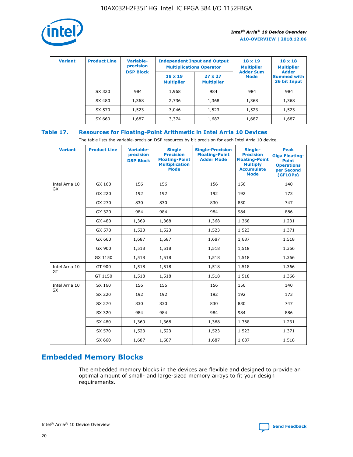

| <b>Variant</b> | <b>Product Line</b> | <b>Variable-</b><br>precision |                                     | <b>Independent Input and Output</b><br><b>Multiplications Operator</b> | $18 \times 19$<br><b>Multiplier</b> | $18 \times 18$<br><b>Multiplier</b><br><b>Adder</b> |  |
|----------------|---------------------|-------------------------------|-------------------------------------|------------------------------------------------------------------------|-------------------------------------|-----------------------------------------------------|--|
|                |                     | <b>DSP Block</b>              | $18 \times 19$<br><b>Multiplier</b> | $27 \times 27$<br><b>Multiplier</b>                                    | <b>Adder Sum</b><br><b>Mode</b>     | <b>Summed with</b><br>36 bit Input                  |  |
|                | SX 320              | 984                           | 1,968                               | 984                                                                    | 984                                 | 984                                                 |  |
|                | SX 480              | 1,368                         | 2,736                               | 1,368                                                                  | 1,368                               | 1,368                                               |  |
|                | SX 570              | 1,523                         | 3,046                               | 1,523                                                                  | 1,523                               | 1,523                                               |  |
|                | SX 660              | 1,687                         | 3,374                               | 1,687                                                                  | 1,687                               | 1,687                                               |  |

## **Table 17. Resources for Floating-Point Arithmetic in Intel Arria 10 Devices**

The table lists the variable-precision DSP resources by bit precision for each Intel Arria 10 device.

| <b>Variant</b> | <b>Product Line</b> | <b>Variable-</b><br>precision<br><b>DSP Block</b> | <b>Single</b><br><b>Precision</b><br><b>Floating-Point</b><br><b>Multiplication</b><br><b>Mode</b> | <b>Single-Precision</b><br><b>Floating-Point</b><br><b>Adder Mode</b> | Single-<br><b>Precision</b><br><b>Floating-Point</b><br><b>Multiply</b><br><b>Accumulate</b><br><b>Mode</b> | <b>Peak</b><br><b>Giga Floating-</b><br><b>Point</b><br><b>Operations</b><br>per Second<br>(GFLOPs) |
|----------------|---------------------|---------------------------------------------------|----------------------------------------------------------------------------------------------------|-----------------------------------------------------------------------|-------------------------------------------------------------------------------------------------------------|-----------------------------------------------------------------------------------------------------|
| Intel Arria 10 | GX 160              | 156                                               | 156                                                                                                | 156                                                                   | 156                                                                                                         | 140                                                                                                 |
| GX             | GX 220              | 192                                               | 192                                                                                                | 192                                                                   | 192                                                                                                         | 173                                                                                                 |
|                | GX 270              | 830                                               | 830                                                                                                | 830                                                                   | 830                                                                                                         | 747                                                                                                 |
|                | GX 320              | 984                                               | 984                                                                                                | 984                                                                   | 984                                                                                                         | 886                                                                                                 |
|                | GX 480              | 1,369                                             | 1,368                                                                                              | 1,368                                                                 | 1,368                                                                                                       | 1,231                                                                                               |
|                | GX 570              | 1,523                                             | 1,523                                                                                              | 1,523                                                                 | 1,523                                                                                                       | 1,371                                                                                               |
|                | GX 660              | 1,687                                             | 1,687                                                                                              | 1,687                                                                 | 1,687                                                                                                       | 1,518                                                                                               |
|                | GX 900              | 1,518                                             | 1,518                                                                                              | 1,518                                                                 | 1,518                                                                                                       | 1,366                                                                                               |
|                | GX 1150             | 1,518                                             | 1,518                                                                                              | 1,518                                                                 | 1,518                                                                                                       | 1,366                                                                                               |
| Intel Arria 10 | GT 900              | 1,518                                             | 1,518                                                                                              | 1,518                                                                 | 1,518                                                                                                       | 1,366                                                                                               |
| GT             | GT 1150             | 1,518                                             | 1,518                                                                                              | 1,518                                                                 | 1,518                                                                                                       | 1,366                                                                                               |
| Intel Arria 10 | SX 160              | 156                                               | 156                                                                                                | 156                                                                   | 156                                                                                                         | 140                                                                                                 |
| <b>SX</b>      | SX 220              | 192                                               | 192                                                                                                | 192                                                                   | 192                                                                                                         | 173                                                                                                 |
|                | SX 270              | 830                                               | 830                                                                                                | 830                                                                   | 830                                                                                                         | 747                                                                                                 |
|                | SX 320              | 984                                               | 984                                                                                                | 984                                                                   | 984                                                                                                         | 886                                                                                                 |
|                | SX 480              | 1,369                                             | 1,368                                                                                              | 1,368                                                                 | 1,368                                                                                                       | 1,231                                                                                               |
|                | SX 570              | 1,523                                             | 1,523                                                                                              | 1,523                                                                 | 1,523                                                                                                       | 1,371                                                                                               |
|                | SX 660              | 1,687                                             | 1,687                                                                                              | 1,687                                                                 | 1,687                                                                                                       | 1,518                                                                                               |

# **Embedded Memory Blocks**

The embedded memory blocks in the devices are flexible and designed to provide an optimal amount of small- and large-sized memory arrays to fit your design requirements.

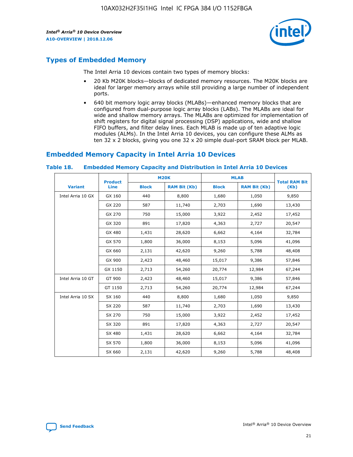

# **Types of Embedded Memory**

The Intel Arria 10 devices contain two types of memory blocks:

- 20 Kb M20K blocks—blocks of dedicated memory resources. The M20K blocks are ideal for larger memory arrays while still providing a large number of independent ports.
- 640 bit memory logic array blocks (MLABs)—enhanced memory blocks that are configured from dual-purpose logic array blocks (LABs). The MLABs are ideal for wide and shallow memory arrays. The MLABs are optimized for implementation of shift registers for digital signal processing (DSP) applications, wide and shallow FIFO buffers, and filter delay lines. Each MLAB is made up of ten adaptive logic modules (ALMs). In the Intel Arria 10 devices, you can configure these ALMs as ten 32 x 2 blocks, giving you one 32 x 20 simple dual-port SRAM block per MLAB.

# **Embedded Memory Capacity in Intel Arria 10 Devices**

|                   | <b>Product</b> | <b>M20K</b>  |                     | <b>MLAB</b>  |                     | <b>Total RAM Bit</b> |
|-------------------|----------------|--------------|---------------------|--------------|---------------------|----------------------|
| <b>Variant</b>    | <b>Line</b>    | <b>Block</b> | <b>RAM Bit (Kb)</b> | <b>Block</b> | <b>RAM Bit (Kb)</b> | (Kb)                 |
| Intel Arria 10 GX | GX 160         | 440          | 8,800               | 1,680        | 1,050               | 9,850                |
|                   | GX 220         | 587          | 11,740              | 2,703        | 1,690               | 13,430               |
|                   | GX 270         | 750          | 15,000              | 3,922        | 2,452               | 17,452               |
|                   | GX 320         | 891          | 17,820              | 4,363        | 2,727               | 20,547               |
|                   | GX 480         | 1,431        | 28,620              | 6,662        | 4,164               | 32,784               |
|                   | GX 570         | 1,800        | 36,000              | 8,153        | 5,096               | 41,096               |
|                   | GX 660         | 2,131        | 42,620              | 9,260        | 5,788               | 48,408               |
|                   | GX 900         | 2,423        | 48,460              | 15,017       | 9,386               | 57,846               |
|                   | GX 1150        | 2,713        | 54,260              | 20,774       | 12,984              | 67,244               |
| Intel Arria 10 GT | GT 900         | 2,423        | 48,460              | 15,017       | 9,386               | 57,846               |
|                   | GT 1150        | 2,713        | 54,260              | 20,774       | 12,984              | 67,244               |
| Intel Arria 10 SX | SX 160         | 440          | 8,800               | 1,680        | 1,050               | 9,850                |
|                   | SX 220         | 587          | 11,740              | 2,703        | 1,690               | 13,430               |
|                   | SX 270         | 750          | 15,000              | 3,922        | 2,452               | 17,452               |
|                   | SX 320         | 891          | 17,820              | 4,363        | 2,727               | 20,547               |
|                   | SX 480         | 1,431        | 28,620              | 6,662        | 4,164               | 32,784               |
|                   | SX 570         | 1,800        | 36,000              | 8,153        | 5,096               | 41,096               |
|                   | SX 660         | 2,131        | 42,620              | 9,260        | 5,788               | 48,408               |

#### **Table 18. Embedded Memory Capacity and Distribution in Intel Arria 10 Devices**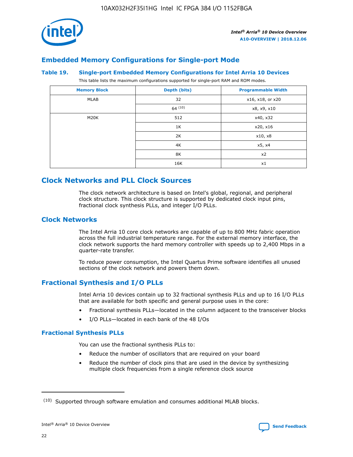

## **Embedded Memory Configurations for Single-port Mode**

#### **Table 19. Single-port Embedded Memory Configurations for Intel Arria 10 Devices**

This table lists the maximum configurations supported for single-port RAM and ROM modes.

| <b>Memory Block</b> | Depth (bits) | <b>Programmable Width</b> |
|---------------------|--------------|---------------------------|
| MLAB                | 32           | x16, x18, or x20          |
|                     | 64(10)       | x8, x9, x10               |
| M20K                | 512          | x40, x32                  |
|                     | 1K           | x20, x16                  |
|                     | 2K           | x10, x8                   |
|                     | 4K           | x5, x4                    |
|                     | 8K           | x2                        |
|                     | 16K          | x1                        |

# **Clock Networks and PLL Clock Sources**

The clock network architecture is based on Intel's global, regional, and peripheral clock structure. This clock structure is supported by dedicated clock input pins, fractional clock synthesis PLLs, and integer I/O PLLs.

## **Clock Networks**

The Intel Arria 10 core clock networks are capable of up to 800 MHz fabric operation across the full industrial temperature range. For the external memory interface, the clock network supports the hard memory controller with speeds up to 2,400 Mbps in a quarter-rate transfer.

To reduce power consumption, the Intel Quartus Prime software identifies all unused sections of the clock network and powers them down.

## **Fractional Synthesis and I/O PLLs**

Intel Arria 10 devices contain up to 32 fractional synthesis PLLs and up to 16 I/O PLLs that are available for both specific and general purpose uses in the core:

- Fractional synthesis PLLs—located in the column adjacent to the transceiver blocks
- I/O PLLs—located in each bank of the 48 I/Os

## **Fractional Synthesis PLLs**

You can use the fractional synthesis PLLs to:

- Reduce the number of oscillators that are required on your board
- Reduce the number of clock pins that are used in the device by synthesizing multiple clock frequencies from a single reference clock source

<sup>(10)</sup> Supported through software emulation and consumes additional MLAB blocks.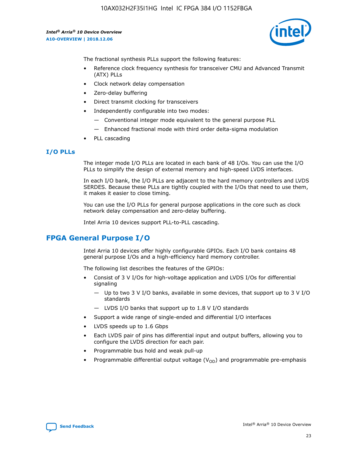

The fractional synthesis PLLs support the following features:

- Reference clock frequency synthesis for transceiver CMU and Advanced Transmit (ATX) PLLs
- Clock network delay compensation
- Zero-delay buffering
- Direct transmit clocking for transceivers
- Independently configurable into two modes:
	- Conventional integer mode equivalent to the general purpose PLL
	- Enhanced fractional mode with third order delta-sigma modulation
- PLL cascading

## **I/O PLLs**

The integer mode I/O PLLs are located in each bank of 48 I/Os. You can use the I/O PLLs to simplify the design of external memory and high-speed LVDS interfaces.

In each I/O bank, the I/O PLLs are adjacent to the hard memory controllers and LVDS SERDES. Because these PLLs are tightly coupled with the I/Os that need to use them, it makes it easier to close timing.

You can use the I/O PLLs for general purpose applications in the core such as clock network delay compensation and zero-delay buffering.

Intel Arria 10 devices support PLL-to-PLL cascading.

# **FPGA General Purpose I/O**

Intel Arria 10 devices offer highly configurable GPIOs. Each I/O bank contains 48 general purpose I/Os and a high-efficiency hard memory controller.

The following list describes the features of the GPIOs:

- Consist of 3 V I/Os for high-voltage application and LVDS I/Os for differential signaling
	- Up to two 3 V I/O banks, available in some devices, that support up to 3 V I/O standards
	- LVDS I/O banks that support up to 1.8 V I/O standards
- Support a wide range of single-ended and differential I/O interfaces
- LVDS speeds up to 1.6 Gbps
- Each LVDS pair of pins has differential input and output buffers, allowing you to configure the LVDS direction for each pair.
- Programmable bus hold and weak pull-up
- Programmable differential output voltage  $(V_{OD})$  and programmable pre-emphasis

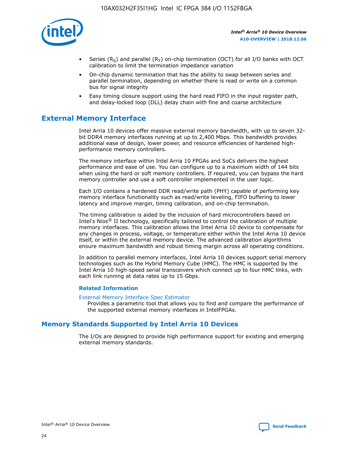

- Series (R<sub>S</sub>) and parallel (R<sub>T</sub>) on-chip termination (OCT) for all I/O banks with OCT calibration to limit the termination impedance variation
- On-chip dynamic termination that has the ability to swap between series and parallel termination, depending on whether there is read or write on a common bus for signal integrity
- Easy timing closure support using the hard read FIFO in the input register path, and delay-locked loop (DLL) delay chain with fine and coarse architecture

# **External Memory Interface**

Intel Arria 10 devices offer massive external memory bandwidth, with up to seven 32 bit DDR4 memory interfaces running at up to 2,400 Mbps. This bandwidth provides additional ease of design, lower power, and resource efficiencies of hardened highperformance memory controllers.

The memory interface within Intel Arria 10 FPGAs and SoCs delivers the highest performance and ease of use. You can configure up to a maximum width of 144 bits when using the hard or soft memory controllers. If required, you can bypass the hard memory controller and use a soft controller implemented in the user logic.

Each I/O contains a hardened DDR read/write path (PHY) capable of performing key memory interface functionality such as read/write leveling, FIFO buffering to lower latency and improve margin, timing calibration, and on-chip termination.

The timing calibration is aided by the inclusion of hard microcontrollers based on Intel's Nios® II technology, specifically tailored to control the calibration of multiple memory interfaces. This calibration allows the Intel Arria 10 device to compensate for any changes in process, voltage, or temperature either within the Intel Arria 10 device itself, or within the external memory device. The advanced calibration algorithms ensure maximum bandwidth and robust timing margin across all operating conditions.

In addition to parallel memory interfaces, Intel Arria 10 devices support serial memory technologies such as the Hybrid Memory Cube (HMC). The HMC is supported by the Intel Arria 10 high-speed serial transceivers which connect up to four HMC links, with each link running at data rates up to 15 Gbps.

## **Related Information**

#### [External Memory Interface Spec Estimator](http://www.altera.com/technology/memory/estimator/mem-emif-index.html)

Provides a parametric tool that allows you to find and compare the performance of the supported external memory interfaces in IntelFPGAs.

## **Memory Standards Supported by Intel Arria 10 Devices**

The I/Os are designed to provide high performance support for existing and emerging external memory standards.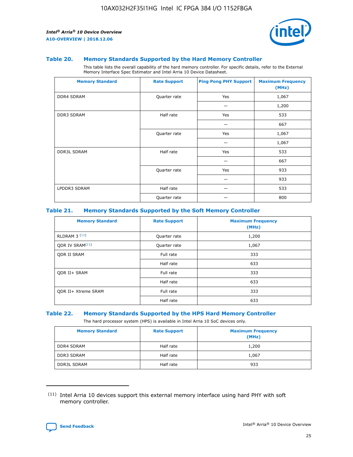

#### **Table 20. Memory Standards Supported by the Hard Memory Controller**

This table lists the overall capability of the hard memory controller. For specific details, refer to the External Memory Interface Spec Estimator and Intel Arria 10 Device Datasheet.

| <b>Memory Standard</b> | <b>Rate Support</b> | <b>Ping Pong PHY Support</b> | <b>Maximum Frequency</b><br>(MHz) |
|------------------------|---------------------|------------------------------|-----------------------------------|
| <b>DDR4 SDRAM</b>      | Quarter rate        | Yes                          | 1,067                             |
|                        |                     |                              | 1,200                             |
| DDR3 SDRAM             | Half rate           | Yes                          | 533                               |
|                        |                     |                              | 667                               |
|                        | Quarter rate        | Yes                          | 1,067                             |
|                        |                     |                              | 1,067                             |
| <b>DDR3L SDRAM</b>     | Half rate           | Yes                          | 533                               |
|                        |                     |                              | 667                               |
|                        | Quarter rate        | Yes                          | 933                               |
|                        |                     |                              | 933                               |
| LPDDR3 SDRAM           | Half rate           |                              | 533                               |
|                        | Quarter rate        |                              | 800                               |

## **Table 21. Memory Standards Supported by the Soft Memory Controller**

| <b>Memory Standard</b>      | <b>Rate Support</b> | <b>Maximum Frequency</b><br>(MHz) |
|-----------------------------|---------------------|-----------------------------------|
| <b>RLDRAM 3 (11)</b>        | Quarter rate        | 1,200                             |
| ODR IV SRAM <sup>(11)</sup> | Quarter rate        | 1,067                             |
| <b>ODR II SRAM</b>          | Full rate           | 333                               |
|                             | Half rate           | 633                               |
| <b>ODR II+ SRAM</b>         | Full rate           | 333                               |
|                             | Half rate           | 633                               |
| <b>ODR II+ Xtreme SRAM</b>  | Full rate           | 333                               |
|                             | Half rate           | 633                               |

#### **Table 22. Memory Standards Supported by the HPS Hard Memory Controller**

The hard processor system (HPS) is available in Intel Arria 10 SoC devices only.

| <b>Memory Standard</b> | <b>Rate Support</b> | <b>Maximum Frequency</b><br>(MHz) |
|------------------------|---------------------|-----------------------------------|
| <b>DDR4 SDRAM</b>      | Half rate           | 1,200                             |
| <b>DDR3 SDRAM</b>      | Half rate           | 1,067                             |
| <b>DDR3L SDRAM</b>     | Half rate           | 933                               |

<sup>(11)</sup> Intel Arria 10 devices support this external memory interface using hard PHY with soft memory controller.

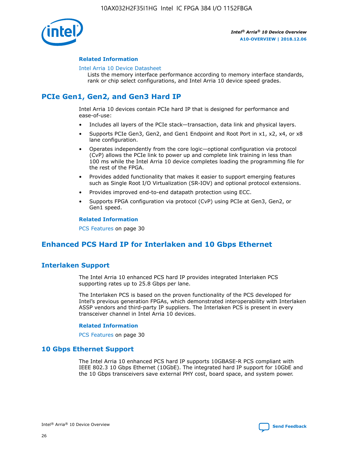

## **Related Information**

#### [Intel Arria 10 Device Datasheet](https://www.intel.com/content/www/us/en/programmable/documentation/mcn1413182292568.html#mcn1413182153340)

Lists the memory interface performance according to memory interface standards, rank or chip select configurations, and Intel Arria 10 device speed grades.

# **PCIe Gen1, Gen2, and Gen3 Hard IP**

Intel Arria 10 devices contain PCIe hard IP that is designed for performance and ease-of-use:

- Includes all layers of the PCIe stack—transaction, data link and physical layers.
- Supports PCIe Gen3, Gen2, and Gen1 Endpoint and Root Port in x1, x2, x4, or x8 lane configuration.
- Operates independently from the core logic—optional configuration via protocol (CvP) allows the PCIe link to power up and complete link training in less than 100 ms while the Intel Arria 10 device completes loading the programming file for the rest of the FPGA.
- Provides added functionality that makes it easier to support emerging features such as Single Root I/O Virtualization (SR-IOV) and optional protocol extensions.
- Provides improved end-to-end datapath protection using ECC.
- Supports FPGA configuration via protocol (CvP) using PCIe at Gen3, Gen2, or Gen1 speed.

#### **Related Information**

PCS Features on page 30

# **Enhanced PCS Hard IP for Interlaken and 10 Gbps Ethernet**

## **Interlaken Support**

The Intel Arria 10 enhanced PCS hard IP provides integrated Interlaken PCS supporting rates up to 25.8 Gbps per lane.

The Interlaken PCS is based on the proven functionality of the PCS developed for Intel's previous generation FPGAs, which demonstrated interoperability with Interlaken ASSP vendors and third-party IP suppliers. The Interlaken PCS is present in every transceiver channel in Intel Arria 10 devices.

## **Related Information**

PCS Features on page 30

## **10 Gbps Ethernet Support**

The Intel Arria 10 enhanced PCS hard IP supports 10GBASE-R PCS compliant with IEEE 802.3 10 Gbps Ethernet (10GbE). The integrated hard IP support for 10GbE and the 10 Gbps transceivers save external PHY cost, board space, and system power.

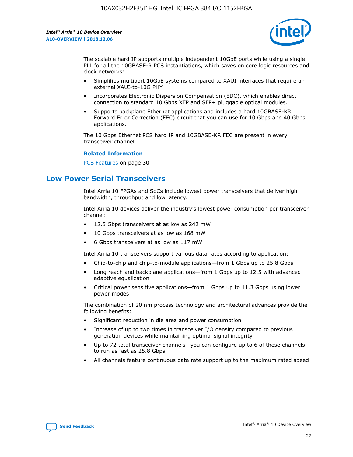

The scalable hard IP supports multiple independent 10GbE ports while using a single PLL for all the 10GBASE-R PCS instantiations, which saves on core logic resources and clock networks:

- Simplifies multiport 10GbE systems compared to XAUI interfaces that require an external XAUI-to-10G PHY.
- Incorporates Electronic Dispersion Compensation (EDC), which enables direct connection to standard 10 Gbps XFP and SFP+ pluggable optical modules.
- Supports backplane Ethernet applications and includes a hard 10GBASE-KR Forward Error Correction (FEC) circuit that you can use for 10 Gbps and 40 Gbps applications.

The 10 Gbps Ethernet PCS hard IP and 10GBASE-KR FEC are present in every transceiver channel.

## **Related Information**

PCS Features on page 30

# **Low Power Serial Transceivers**

Intel Arria 10 FPGAs and SoCs include lowest power transceivers that deliver high bandwidth, throughput and low latency.

Intel Arria 10 devices deliver the industry's lowest power consumption per transceiver channel:

- 12.5 Gbps transceivers at as low as 242 mW
- 10 Gbps transceivers at as low as 168 mW
- 6 Gbps transceivers at as low as 117 mW

Intel Arria 10 transceivers support various data rates according to application:

- Chip-to-chip and chip-to-module applications—from 1 Gbps up to 25.8 Gbps
- Long reach and backplane applications—from 1 Gbps up to 12.5 with advanced adaptive equalization
- Critical power sensitive applications—from 1 Gbps up to 11.3 Gbps using lower power modes

The combination of 20 nm process technology and architectural advances provide the following benefits:

- Significant reduction in die area and power consumption
- Increase of up to two times in transceiver I/O density compared to previous generation devices while maintaining optimal signal integrity
- Up to 72 total transceiver channels—you can configure up to 6 of these channels to run as fast as 25.8 Gbps
- All channels feature continuous data rate support up to the maximum rated speed

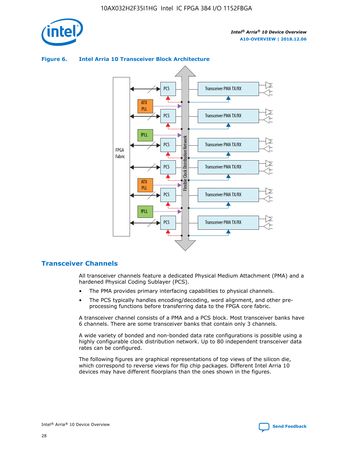

## **Figure 6. Intel Arria 10 Transceiver Block Architecture**



## **Transceiver Channels**

All transceiver channels feature a dedicated Physical Medium Attachment (PMA) and a hardened Physical Coding Sublayer (PCS).

- The PMA provides primary interfacing capabilities to physical channels.
- The PCS typically handles encoding/decoding, word alignment, and other preprocessing functions before transferring data to the FPGA core fabric.

A transceiver channel consists of a PMA and a PCS block. Most transceiver banks have 6 channels. There are some transceiver banks that contain only 3 channels.

A wide variety of bonded and non-bonded data rate configurations is possible using a highly configurable clock distribution network. Up to 80 independent transceiver data rates can be configured.

The following figures are graphical representations of top views of the silicon die, which correspond to reverse views for flip chip packages. Different Intel Arria 10 devices may have different floorplans than the ones shown in the figures.

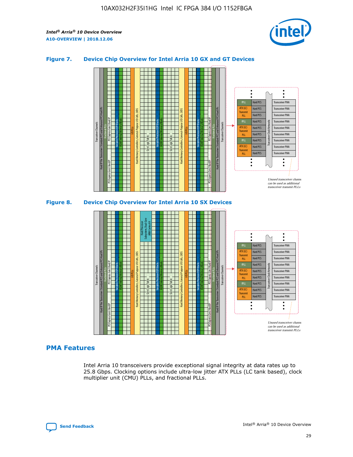

## **Figure 7. Device Chip Overview for Intel Arria 10 GX and GT Devices**



M20K Internal Memory Blocks Core Logic Fabric Transceiver Channels Hard IP Per Transceiver: Standard PCS and Enhanced PCS Hard IPs PCI Express Gen3 Hard IP Fractional PLLs M20K Internal Memory Blocks PCI Express Gen3 Hard IP Variable Precision DSP Blocks I/O PLLs Hard Memory Controllers, General-Purpose I/O Cells, LVDS Hard Processor Subsystem, Dual-Core ARM Cortex A9 M20K Internal Memory Blocks Variable Precision DSP Blocks M20K Internal Memory Blocks Core Logic Fabric I/O PLLs Hard Memory Controllers, General-Purpose I/O Cells, LVDS M20K Internal Memory Blocks Variable Precision DSP Blocks M20K Internal Memory Blocks Transceiver Channels Hard IP Per Transceiver: Standard PCS and Enhanced PCS Hard IPs PCI Express Gen3 Hard IP Fractional PLLs PCI Express Gen3 Hard IP Hard PCS Hard PCS Hard PCS Hard PCS Hard PCS Hard PCS Hard PCS Hard PCS Transceiver PMA Transceiver PMA Transceiver PMA Transceiver PMA Transceiver PMA Transceiver PMA Unused transceiver chann can be used as additional transceiver transmit PLLs Transceiver PMA Transceiver PMA Transceiver Clock Networks ATX (LC) **Transmit** PLL fPLL ATX (LC) Transmi PLL fPLL ATX (LC) **Transmit** PLL

## **PMA Features**

Intel Arria 10 transceivers provide exceptional signal integrity at data rates up to 25.8 Gbps. Clocking options include ultra-low jitter ATX PLLs (LC tank based), clock multiplier unit (CMU) PLLs, and fractional PLLs.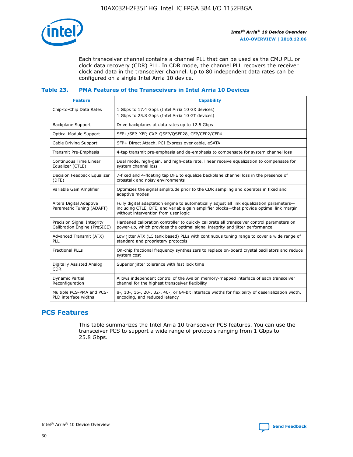

Each transceiver channel contains a channel PLL that can be used as the CMU PLL or clock data recovery (CDR) PLL. In CDR mode, the channel PLL recovers the receiver clock and data in the transceiver channel. Up to 80 independent data rates can be configured on a single Intel Arria 10 device.

## **Table 23. PMA Features of the Transceivers in Intel Arria 10 Devices**

| <b>Feature</b>                                             | <b>Capability</b>                                                                                                                                                                                                             |
|------------------------------------------------------------|-------------------------------------------------------------------------------------------------------------------------------------------------------------------------------------------------------------------------------|
| Chip-to-Chip Data Rates                                    | 1 Gbps to 17.4 Gbps (Intel Arria 10 GX devices)<br>1 Gbps to 25.8 Gbps (Intel Arria 10 GT devices)                                                                                                                            |
| <b>Backplane Support</b>                                   | Drive backplanes at data rates up to 12.5 Gbps                                                                                                                                                                                |
| <b>Optical Module Support</b>                              | SFP+/SFP, XFP, CXP, QSFP/QSFP28, CFP/CFP2/CFP4                                                                                                                                                                                |
| Cable Driving Support                                      | SFP+ Direct Attach, PCI Express over cable, eSATA                                                                                                                                                                             |
| Transmit Pre-Emphasis                                      | 4-tap transmit pre-emphasis and de-emphasis to compensate for system channel loss                                                                                                                                             |
| Continuous Time Linear<br>Equalizer (CTLE)                 | Dual mode, high-gain, and high-data rate, linear receive equalization to compensate for<br>system channel loss                                                                                                                |
| Decision Feedback Equalizer<br>(DFE)                       | 7-fixed and 4-floating tap DFE to equalize backplane channel loss in the presence of<br>crosstalk and noisy environments                                                                                                      |
| Variable Gain Amplifier                                    | Optimizes the signal amplitude prior to the CDR sampling and operates in fixed and<br>adaptive modes                                                                                                                          |
| Altera Digital Adaptive<br>Parametric Tuning (ADAPT)       | Fully digital adaptation engine to automatically adjust all link equalization parameters-<br>including CTLE, DFE, and variable gain amplifier blocks—that provide optimal link margin<br>without intervention from user logic |
| Precision Signal Integrity<br>Calibration Engine (PreSICE) | Hardened calibration controller to quickly calibrate all transceiver control parameters on<br>power-up, which provides the optimal signal integrity and jitter performance                                                    |
| Advanced Transmit (ATX)<br>PLL                             | Low jitter ATX (LC tank based) PLLs with continuous tuning range to cover a wide range of<br>standard and proprietary protocols                                                                                               |
| <b>Fractional PLLs</b>                                     | On-chip fractional frequency synthesizers to replace on-board crystal oscillators and reduce<br>system cost                                                                                                                   |
| Digitally Assisted Analog<br><b>CDR</b>                    | Superior jitter tolerance with fast lock time                                                                                                                                                                                 |
| Dynamic Partial<br>Reconfiguration                         | Allows independent control of the Avalon memory-mapped interface of each transceiver<br>channel for the highest transceiver flexibility                                                                                       |
| Multiple PCS-PMA and PCS-<br>PLD interface widths          | 8-, 10-, 16-, 20-, 32-, 40-, or 64-bit interface widths for flexibility of deserialization width,<br>encoding, and reduced latency                                                                                            |

## **PCS Features**

This table summarizes the Intel Arria 10 transceiver PCS features. You can use the transceiver PCS to support a wide range of protocols ranging from 1 Gbps to 25.8 Gbps.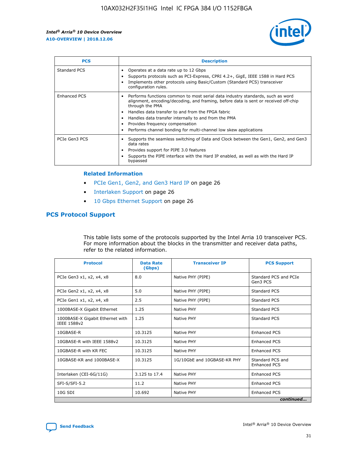

| <b>PCS</b>    | <b>Description</b>                                                                                                                                                                                                                                                                                                                                                                                             |
|---------------|----------------------------------------------------------------------------------------------------------------------------------------------------------------------------------------------------------------------------------------------------------------------------------------------------------------------------------------------------------------------------------------------------------------|
| Standard PCS  | Operates at a data rate up to 12 Gbps<br>Supports protocols such as PCI-Express, CPRI 4.2+, GigE, IEEE 1588 in Hard PCS<br>Implements other protocols using Basic/Custom (Standard PCS) transceiver<br>configuration rules.                                                                                                                                                                                    |
| Enhanced PCS  | Performs functions common to most serial data industry standards, such as word<br>alignment, encoding/decoding, and framing, before data is sent or received off-chip<br>through the PMA<br>• Handles data transfer to and from the FPGA fabric<br>Handles data transfer internally to and from the PMA<br>Provides frequency compensation<br>Performs channel bonding for multi-channel low skew applications |
| PCIe Gen3 PCS | Supports the seamless switching of Data and Clock between the Gen1, Gen2, and Gen3<br>data rates<br>Provides support for PIPE 3.0 features<br>Supports the PIPE interface with the Hard IP enabled, as well as with the Hard IP<br>bypassed                                                                                                                                                                    |

#### **Related Information**

- PCIe Gen1, Gen2, and Gen3 Hard IP on page 26
- Interlaken Support on page 26
- 10 Gbps Ethernet Support on page 26

## **PCS Protocol Support**

This table lists some of the protocols supported by the Intel Arria 10 transceiver PCS. For more information about the blocks in the transmitter and receiver data paths, refer to the related information.

| <b>Protocol</b>                                 | <b>Data Rate</b><br>(Gbps) | <b>Transceiver IP</b>       | <b>PCS Support</b>                      |
|-------------------------------------------------|----------------------------|-----------------------------|-----------------------------------------|
| PCIe Gen3 x1, x2, x4, x8                        | 8.0                        | Native PHY (PIPE)           | Standard PCS and PCIe<br>Gen3 PCS       |
| PCIe Gen2 x1, x2, x4, x8                        | 5.0                        | Native PHY (PIPE)           | <b>Standard PCS</b>                     |
| PCIe Gen1 x1, x2, x4, x8                        | 2.5                        | Native PHY (PIPE)           | Standard PCS                            |
| 1000BASE-X Gigabit Ethernet                     | 1.25                       | Native PHY                  | <b>Standard PCS</b>                     |
| 1000BASE-X Gigabit Ethernet with<br>IEEE 1588v2 | 1.25                       | Native PHY                  | Standard PCS                            |
| 10GBASE-R                                       | 10.3125                    | Native PHY                  | <b>Enhanced PCS</b>                     |
| 10GBASE-R with IEEE 1588v2                      | 10.3125                    | Native PHY                  | <b>Enhanced PCS</b>                     |
| 10GBASE-R with KR FEC                           | 10.3125                    | Native PHY                  | <b>Enhanced PCS</b>                     |
| 10GBASE-KR and 1000BASE-X                       | 10.3125                    | 1G/10GbE and 10GBASE-KR PHY | Standard PCS and<br><b>Enhanced PCS</b> |
| Interlaken (CEI-6G/11G)                         | 3.125 to 17.4              | Native PHY                  | <b>Enhanced PCS</b>                     |
| SFI-S/SFI-5.2                                   | 11.2                       | Native PHY                  | <b>Enhanced PCS</b>                     |
| $10G$ SDI                                       | 10.692                     | Native PHY                  | <b>Enhanced PCS</b>                     |
|                                                 |                            |                             | continued                               |

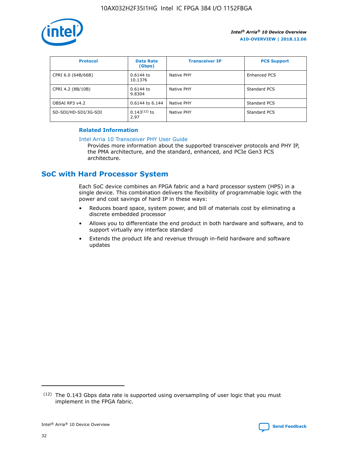

| <b>Protocol</b>      | <b>Data Rate</b><br>(Gbps) | <b>Transceiver IP</b> | <b>PCS Support</b> |
|----------------------|----------------------------|-----------------------|--------------------|
| CPRI 6.0 (64B/66B)   | 0.6144 to<br>10.1376       | Native PHY            | Enhanced PCS       |
| CPRI 4.2 (8B/10B)    | 0.6144 to<br>9.8304        | Native PHY            | Standard PCS       |
| OBSAI RP3 v4.2       | 0.6144 to 6.144            | Native PHY            | Standard PCS       |
| SD-SDI/HD-SDI/3G-SDI | $0.143(12)$ to<br>2.97     | Native PHY            | Standard PCS       |

## **Related Information**

#### [Intel Arria 10 Transceiver PHY User Guide](https://www.intel.com/content/www/us/en/programmable/documentation/nik1398707230472.html#nik1398707091164)

Provides more information about the supported transceiver protocols and PHY IP, the PMA architecture, and the standard, enhanced, and PCIe Gen3 PCS architecture.

# **SoC with Hard Processor System**

Each SoC device combines an FPGA fabric and a hard processor system (HPS) in a single device. This combination delivers the flexibility of programmable logic with the power and cost savings of hard IP in these ways:

- Reduces board space, system power, and bill of materials cost by eliminating a discrete embedded processor
- Allows you to differentiate the end product in both hardware and software, and to support virtually any interface standard
- Extends the product life and revenue through in-field hardware and software updates

 $(12)$  The 0.143 Gbps data rate is supported using oversampling of user logic that you must implement in the FPGA fabric.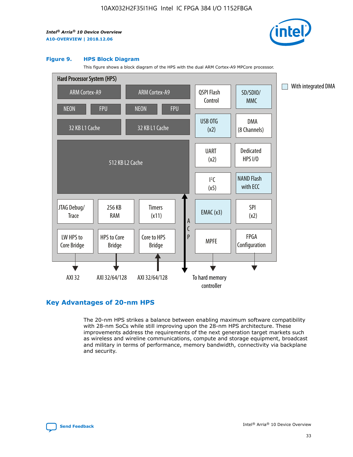

#### **Figure 9. HPS Block Diagram**

This figure shows a block diagram of the HPS with the dual ARM Cortex-A9 MPCore processor.



## **Key Advantages of 20-nm HPS**

The 20-nm HPS strikes a balance between enabling maximum software compatibility with 28-nm SoCs while still improving upon the 28-nm HPS architecture. These improvements address the requirements of the next generation target markets such as wireless and wireline communications, compute and storage equipment, broadcast and military in terms of performance, memory bandwidth, connectivity via backplane and security.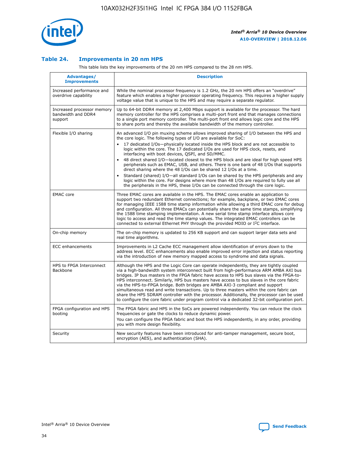

## **Table 24. Improvements in 20 nm HPS**

This table lists the key improvements of the 20 nm HPS compared to the 28 nm HPS.

| Advantages/<br><b>Improvements</b>                          | <b>Description</b>                                                                                                                                                                                                                                                                                                                                                                                                                                                                                                                                                                                                                                                                                                                                                                                                                                                                                                      |
|-------------------------------------------------------------|-------------------------------------------------------------------------------------------------------------------------------------------------------------------------------------------------------------------------------------------------------------------------------------------------------------------------------------------------------------------------------------------------------------------------------------------------------------------------------------------------------------------------------------------------------------------------------------------------------------------------------------------------------------------------------------------------------------------------------------------------------------------------------------------------------------------------------------------------------------------------------------------------------------------------|
| Increased performance and<br>overdrive capability           | While the nominal processor frequency is 1.2 GHz, the 20 nm HPS offers an "overdrive"<br>feature which enables a higher processor operating frequency. This requires a higher supply<br>voltage value that is unique to the HPS and may require a separate regulator.                                                                                                                                                                                                                                                                                                                                                                                                                                                                                                                                                                                                                                                   |
| Increased processor memory<br>bandwidth and DDR4<br>support | Up to 64-bit DDR4 memory at 2,400 Mbps support is available for the processor. The hard<br>memory controller for the HPS comprises a multi-port front end that manages connections<br>to a single port memory controller. The multi-port front end allows logic core and the HPS<br>to share ports and thereby the available bandwidth of the memory controller.                                                                                                                                                                                                                                                                                                                                                                                                                                                                                                                                                        |
| Flexible I/O sharing                                        | An advanced I/O pin muxing scheme allows improved sharing of I/O between the HPS and<br>the core logic. The following types of I/O are available for SoC:<br>17 dedicated I/Os-physically located inside the HPS block and are not accessible to<br>logic within the core. The 17 dedicated I/Os are used for HPS clock, resets, and<br>interfacing with boot devices, QSPI, and SD/MMC.<br>48 direct shared I/O-located closest to the HPS block and are ideal for high speed HPS<br>peripherals such as EMAC, USB, and others. There is one bank of 48 I/Os that supports<br>direct sharing where the 48 I/Os can be shared 12 I/Os at a time.<br>Standard (shared) I/O-all standard I/Os can be shared by the HPS peripherals and any<br>logic within the core. For designs where more than 48 I/Os are required to fully use all<br>the peripherals in the HPS, these I/Os can be connected through the core logic. |
| <b>EMAC</b> core                                            | Three EMAC cores are available in the HPS. The EMAC cores enable an application to<br>support two redundant Ethernet connections; for example, backplane, or two EMAC cores<br>for managing IEEE 1588 time stamp information while allowing a third EMAC core for debug<br>and configuration. All three EMACs can potentially share the same time stamps, simplifying<br>the 1588 time stamping implementation. A new serial time stamp interface allows core<br>logic to access and read the time stamp values. The integrated EMAC controllers can be<br>connected to external Ethernet PHY through the provided MDIO or I <sup>2</sup> C interface.                                                                                                                                                                                                                                                                  |
| On-chip memory                                              | The on-chip memory is updated to 256 KB support and can support larger data sets and<br>real time algorithms.                                                                                                                                                                                                                                                                                                                                                                                                                                                                                                                                                                                                                                                                                                                                                                                                           |
| <b>ECC</b> enhancements                                     | Improvements in L2 Cache ECC management allow identification of errors down to the<br>address level. ECC enhancements also enable improved error injection and status reporting<br>via the introduction of new memory mapped access to syndrome and data signals.                                                                                                                                                                                                                                                                                                                                                                                                                                                                                                                                                                                                                                                       |
| HPS to FPGA Interconnect<br>Backbone                        | Although the HPS and the Logic Core can operate independently, they are tightly coupled<br>via a high-bandwidth system interconnect built from high-performance ARM AMBA AXI bus<br>bridges. IP bus masters in the FPGA fabric have access to HPS bus slaves via the FPGA-to-<br>HPS interconnect. Similarly, HPS bus masters have access to bus slaves in the core fabric<br>via the HPS-to-FPGA bridge. Both bridges are AMBA AXI-3 compliant and support<br>simultaneous read and write transactions. Up to three masters within the core fabric can<br>share the HPS SDRAM controller with the processor. Additionally, the processor can be used<br>to configure the core fabric under program control via a dedicated 32-bit configuration port.                                                                                                                                                                  |
| FPGA configuration and HPS<br>booting                       | The FPGA fabric and HPS in the SoCs are powered independently. You can reduce the clock<br>frequencies or gate the clocks to reduce dynamic power.<br>You can configure the FPGA fabric and boot the HPS independently, in any order, providing<br>you with more design flexibility.                                                                                                                                                                                                                                                                                                                                                                                                                                                                                                                                                                                                                                    |
| Security                                                    | New security features have been introduced for anti-tamper management, secure boot,<br>encryption (AES), and authentication (SHA).                                                                                                                                                                                                                                                                                                                                                                                                                                                                                                                                                                                                                                                                                                                                                                                      |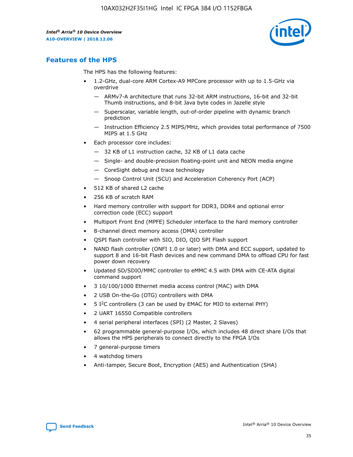

## **Features of the HPS**

The HPS has the following features:

- 1.2-GHz, dual-core ARM Cortex-A9 MPCore processor with up to 1.5-GHz via overdrive
	- ARMv7-A architecture that runs 32-bit ARM instructions, 16-bit and 32-bit Thumb instructions, and 8-bit Java byte codes in Jazelle style
	- Superscalar, variable length, out-of-order pipeline with dynamic branch prediction
	- Instruction Efficiency 2.5 MIPS/MHz, which provides total performance of 7500 MIPS at 1.5 GHz
- Each processor core includes:
	- 32 KB of L1 instruction cache, 32 KB of L1 data cache
	- Single- and double-precision floating-point unit and NEON media engine
	- CoreSight debug and trace technology
	- Snoop Control Unit (SCU) and Acceleration Coherency Port (ACP)
- 512 KB of shared L2 cache
- 256 KB of scratch RAM
- Hard memory controller with support for DDR3, DDR4 and optional error correction code (ECC) support
- Multiport Front End (MPFE) Scheduler interface to the hard memory controller
- 8-channel direct memory access (DMA) controller
- QSPI flash controller with SIO, DIO, QIO SPI Flash support
- NAND flash controller (ONFI 1.0 or later) with DMA and ECC support, updated to support 8 and 16-bit Flash devices and new command DMA to offload CPU for fast power down recovery
- Updated SD/SDIO/MMC controller to eMMC 4.5 with DMA with CE-ATA digital command support
- 3 10/100/1000 Ethernet media access control (MAC) with DMA
- 2 USB On-the-Go (OTG) controllers with DMA
- $\bullet$  5 I<sup>2</sup>C controllers (3 can be used by EMAC for MIO to external PHY)
- 2 UART 16550 Compatible controllers
- 4 serial peripheral interfaces (SPI) (2 Master, 2 Slaves)
- 62 programmable general-purpose I/Os, which includes 48 direct share I/Os that allows the HPS peripherals to connect directly to the FPGA I/Os
- 7 general-purpose timers
- 4 watchdog timers
- Anti-tamper, Secure Boot, Encryption (AES) and Authentication (SHA)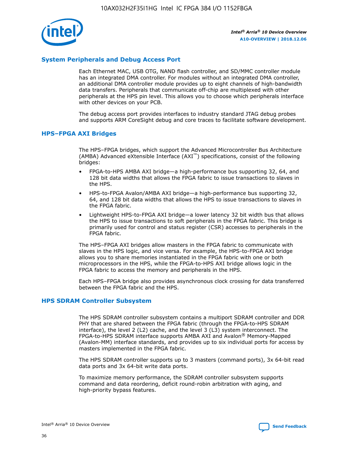

## **System Peripherals and Debug Access Port**

Each Ethernet MAC, USB OTG, NAND flash controller, and SD/MMC controller module has an integrated DMA controller. For modules without an integrated DMA controller, an additional DMA controller module provides up to eight channels of high-bandwidth data transfers. Peripherals that communicate off-chip are multiplexed with other peripherals at the HPS pin level. This allows you to choose which peripherals interface with other devices on your PCB.

The debug access port provides interfaces to industry standard JTAG debug probes and supports ARM CoreSight debug and core traces to facilitate software development.

#### **HPS–FPGA AXI Bridges**

The HPS–FPGA bridges, which support the Advanced Microcontroller Bus Architecture (AMBA) Advanced eXtensible Interface (AXI™) specifications, consist of the following bridges:

- FPGA-to-HPS AMBA AXI bridge—a high-performance bus supporting 32, 64, and 128 bit data widths that allows the FPGA fabric to issue transactions to slaves in the HPS.
- HPS-to-FPGA Avalon/AMBA AXI bridge—a high-performance bus supporting 32, 64, and 128 bit data widths that allows the HPS to issue transactions to slaves in the FPGA fabric.
- Lightweight HPS-to-FPGA AXI bridge—a lower latency 32 bit width bus that allows the HPS to issue transactions to soft peripherals in the FPGA fabric. This bridge is primarily used for control and status register (CSR) accesses to peripherals in the FPGA fabric.

The HPS–FPGA AXI bridges allow masters in the FPGA fabric to communicate with slaves in the HPS logic, and vice versa. For example, the HPS-to-FPGA AXI bridge allows you to share memories instantiated in the FPGA fabric with one or both microprocessors in the HPS, while the FPGA-to-HPS AXI bridge allows logic in the FPGA fabric to access the memory and peripherals in the HPS.

Each HPS–FPGA bridge also provides asynchronous clock crossing for data transferred between the FPGA fabric and the HPS.

#### **HPS SDRAM Controller Subsystem**

The HPS SDRAM controller subsystem contains a multiport SDRAM controller and DDR PHY that are shared between the FPGA fabric (through the FPGA-to-HPS SDRAM interface), the level 2 (L2) cache, and the level 3 (L3) system interconnect. The FPGA-to-HPS SDRAM interface supports AMBA AXI and Avalon® Memory-Mapped (Avalon-MM) interface standards, and provides up to six individual ports for access by masters implemented in the FPGA fabric.

The HPS SDRAM controller supports up to 3 masters (command ports), 3x 64-bit read data ports and 3x 64-bit write data ports.

To maximize memory performance, the SDRAM controller subsystem supports command and data reordering, deficit round-robin arbitration with aging, and high-priority bypass features.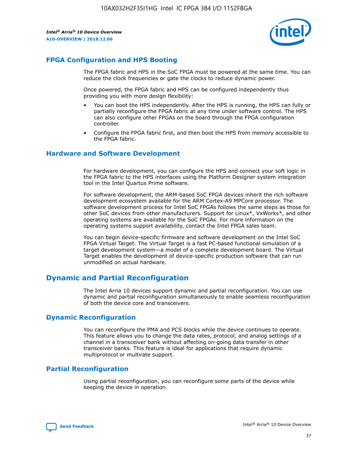

## **FPGA Configuration and HPS Booting**

The FPGA fabric and HPS in the SoC FPGA must be powered at the same time. You can reduce the clock frequencies or gate the clocks to reduce dynamic power.

Once powered, the FPGA fabric and HPS can be configured independently thus providing you with more design flexibility:

- You can boot the HPS independently. After the HPS is running, the HPS can fully or partially reconfigure the FPGA fabric at any time under software control. The HPS can also configure other FPGAs on the board through the FPGA configuration controller.
- Configure the FPGA fabric first, and then boot the HPS from memory accessible to the FPGA fabric.

## **Hardware and Software Development**

For hardware development, you can configure the HPS and connect your soft logic in the FPGA fabric to the HPS interfaces using the Platform Designer system integration tool in the Intel Quartus Prime software.

For software development, the ARM-based SoC FPGA devices inherit the rich software development ecosystem available for the ARM Cortex-A9 MPCore processor. The software development process for Intel SoC FPGAs follows the same steps as those for other SoC devices from other manufacturers. Support for Linux\*, VxWorks\*, and other operating systems are available for the SoC FPGAs. For more information on the operating systems support availability, contact the Intel FPGA sales team.

You can begin device-specific firmware and software development on the Intel SoC FPGA Virtual Target. The Virtual Target is a fast PC-based functional simulation of a target development system—a model of a complete development board. The Virtual Target enables the development of device-specific production software that can run unmodified on actual hardware.

## **Dynamic and Partial Reconfiguration**

The Intel Arria 10 devices support dynamic and partial reconfiguration. You can use dynamic and partial reconfiguration simultaneously to enable seamless reconfiguration of both the device core and transceivers.

## **Dynamic Reconfiguration**

You can reconfigure the PMA and PCS blocks while the device continues to operate. This feature allows you to change the data rates, protocol, and analog settings of a channel in a transceiver bank without affecting on-going data transfer in other transceiver banks. This feature is ideal for applications that require dynamic multiprotocol or multirate support.

## **Partial Reconfiguration**

Using partial reconfiguration, you can reconfigure some parts of the device while keeping the device in operation.

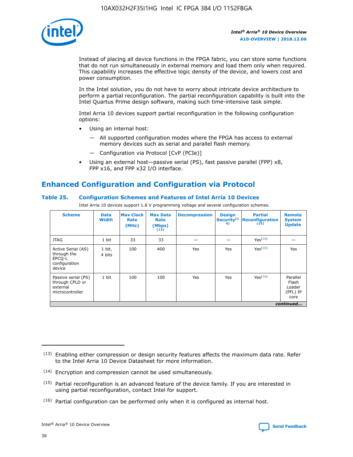

Instead of placing all device functions in the FPGA fabric, you can store some functions that do not run simultaneously in external memory and load them only when required. This capability increases the effective logic density of the device, and lowers cost and power consumption.

In the Intel solution, you do not have to worry about intricate device architecture to perform a partial reconfiguration. The partial reconfiguration capability is built into the Intel Quartus Prime design software, making such time-intensive task simple.

Intel Arria 10 devices support partial reconfiguration in the following configuration options:

- Using an internal host:
	- All supported configuration modes where the FPGA has access to external memory devices such as serial and parallel flash memory.
	- Configuration via Protocol [CvP (PCIe)]
- Using an external host—passive serial (PS), fast passive parallel (FPP) x8, FPP x16, and FPP x32 I/O interface.

# **Enhanced Configuration and Configuration via Protocol**

## **Table 25. Configuration Schemes and Features of Intel Arria 10 Devices**

Intel Arria 10 devices support 1.8 V programming voltage and several configuration schemes.

| <b>Scheme</b>                                                          | <b>Data</b><br><b>Width</b> | <b>Max Clock</b><br>Rate<br>(MHz) | <b>Max Data</b><br>Rate<br>(Mbps)<br>(13) | <b>Decompression</b> | <b>Design</b><br>Security <sup>(1</sup><br>4) | <b>Partial</b><br>Reconfiguration<br>(15) | <b>Remote</b><br><b>System</b><br><b>Update</b> |
|------------------------------------------------------------------------|-----------------------------|-----------------------------------|-------------------------------------------|----------------------|-----------------------------------------------|-------------------------------------------|-------------------------------------------------|
| <b>JTAG</b>                                                            | 1 bit                       | 33                                | 33                                        |                      |                                               | Yes(16)                                   |                                                 |
| Active Serial (AS)<br>through the<br>EPCO-L<br>configuration<br>device | 1 bit,<br>4 bits            | 100                               | 400                                       | Yes                  | Yes                                           | Yes(16)                                   | Yes                                             |
| Passive serial (PS)<br>through CPLD or<br>external<br>microcontroller  | 1 bit                       | 100                               | 100                                       | Yes                  | Yes                                           | Yes <sup>(16)</sup>                       | Parallel<br>Flash<br>Loader<br>(PFL) IP<br>core |
|                                                                        |                             |                                   |                                           |                      |                                               |                                           | continued                                       |

<sup>(13)</sup> Enabling either compression or design security features affects the maximum data rate. Refer to the Intel Arria 10 Device Datasheet for more information.

<sup>(14)</sup> Encryption and compression cannot be used simultaneously.

 $(15)$  Partial reconfiguration is an advanced feature of the device family. If you are interested in using partial reconfiguration, contact Intel for support.

 $(16)$  Partial configuration can be performed only when it is configured as internal host.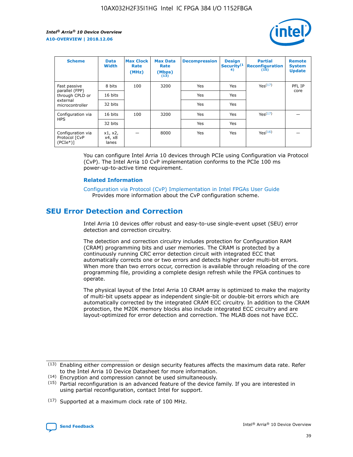

| <b>Scheme</b>                                   | <b>Data</b><br><b>Width</b> | <b>Max Clock</b><br>Rate<br>(MHz) | <b>Max Data</b><br>Rate<br>(Mbps)<br>(13) | <b>Decompression</b> | <b>Design</b><br>Security <sup>(1</sup><br>4) | <b>Partial</b><br><b>Reconfiguration</b><br>(15) | <b>Remote</b><br><b>System</b><br><b>Update</b> |
|-------------------------------------------------|-----------------------------|-----------------------------------|-------------------------------------------|----------------------|-----------------------------------------------|--------------------------------------------------|-------------------------------------------------|
| Fast passive                                    | 8 bits                      | 100                               | 3200                                      | Yes                  | Yes                                           | Yes(17)                                          | PFL IP                                          |
| parallel (FPP)<br>through CPLD or               | 16 bits                     |                                   |                                           | Yes                  | Yes                                           |                                                  | core                                            |
| external<br>microcontroller                     | 32 bits                     |                                   |                                           | Yes                  | Yes                                           |                                                  |                                                 |
| Configuration via                               | 16 bits                     | 100                               | 3200                                      | Yes                  | Yes                                           | Yes <sup>(17)</sup>                              |                                                 |
| <b>HPS</b>                                      | 32 bits                     |                                   |                                           | Yes                  | Yes                                           |                                                  |                                                 |
| Configuration via<br>Protocol [CvP<br>$(PCIe*)$ | x1, x2,<br>x4, x8<br>lanes  |                                   | 8000                                      | Yes                  | Yes                                           | Yes <sup>(16)</sup>                              |                                                 |

You can configure Intel Arria 10 devices through PCIe using Configuration via Protocol (CvP). The Intel Arria 10 CvP implementation conforms to the PCIe 100 ms power-up-to-active time requirement.

## **Related Information**

[Configuration via Protocol \(CvP\) Implementation in Intel FPGAs User Guide](https://www.intel.com/content/www/us/en/programmable/documentation/dsu1441819344145.html#dsu1442269728522) Provides more information about the CvP configuration scheme.

# **SEU Error Detection and Correction**

Intel Arria 10 devices offer robust and easy-to-use single-event upset (SEU) error detection and correction circuitry.

The detection and correction circuitry includes protection for Configuration RAM (CRAM) programming bits and user memories. The CRAM is protected by a continuously running CRC error detection circuit with integrated ECC that automatically corrects one or two errors and detects higher order multi-bit errors. When more than two errors occur, correction is available through reloading of the core programming file, providing a complete design refresh while the FPGA continues to operate.

The physical layout of the Intel Arria 10 CRAM array is optimized to make the majority of multi-bit upsets appear as independent single-bit or double-bit errors which are automatically corrected by the integrated CRAM ECC circuitry. In addition to the CRAM protection, the M20K memory blocks also include integrated ECC circuitry and are layout-optimized for error detection and correction. The MLAB does not have ECC.

(14) Encryption and compression cannot be used simultaneously.

<sup>(17)</sup> Supported at a maximum clock rate of 100 MHz.



 $(13)$  Enabling either compression or design security features affects the maximum data rate. Refer to the Intel Arria 10 Device Datasheet for more information.

 $(15)$  Partial reconfiguration is an advanced feature of the device family. If you are interested in using partial reconfiguration, contact Intel for support.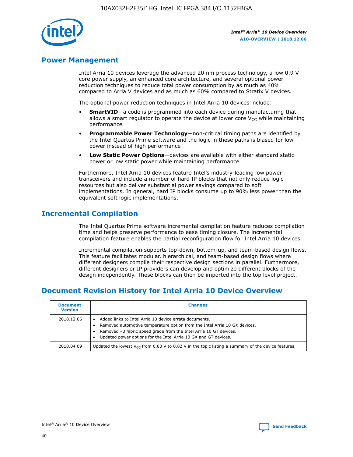

## **Power Management**

Intel Arria 10 devices leverage the advanced 20 nm process technology, a low 0.9 V core power supply, an enhanced core architecture, and several optional power reduction techniques to reduce total power consumption by as much as 40% compared to Arria V devices and as much as 60% compared to Stratix V devices.

The optional power reduction techniques in Intel Arria 10 devices include:

- **SmartVID**—a code is programmed into each device during manufacturing that allows a smart regulator to operate the device at lower core  $V_{CC}$  while maintaining performance
- **Programmable Power Technology**—non-critical timing paths are identified by the Intel Quartus Prime software and the logic in these paths is biased for low power instead of high performance
- **Low Static Power Options**—devices are available with either standard static power or low static power while maintaining performance

Furthermore, Intel Arria 10 devices feature Intel's industry-leading low power transceivers and include a number of hard IP blocks that not only reduce logic resources but also deliver substantial power savings compared to soft implementations. In general, hard IP blocks consume up to 90% less power than the equivalent soft logic implementations.

# **Incremental Compilation**

The Intel Quartus Prime software incremental compilation feature reduces compilation time and helps preserve performance to ease timing closure. The incremental compilation feature enables the partial reconfiguration flow for Intel Arria 10 devices.

Incremental compilation supports top-down, bottom-up, and team-based design flows. This feature facilitates modular, hierarchical, and team-based design flows where different designers compile their respective design sections in parallel. Furthermore, different designers or IP providers can develop and optimize different blocks of the design independently. These blocks can then be imported into the top level project.

# **Document Revision History for Intel Arria 10 Device Overview**

| <b>Document</b><br><b>Version</b> | <b>Changes</b>                                                                                                                                                                                                                                                              |
|-----------------------------------|-----------------------------------------------------------------------------------------------------------------------------------------------------------------------------------------------------------------------------------------------------------------------------|
| 2018.12.06                        | Added links to Intel Arria 10 device errata documents.<br>Removed automotive temperature option from the Intel Arria 10 GX devices.<br>Removed -3 fabric speed grade from the Intel Arria 10 GT devices.<br>Updated power options for the Intel Arria 10 GX and GT devices. |
| 2018.04.09                        | Updated the lowest $V_{CC}$ from 0.83 V to 0.82 V in the topic listing a summary of the device features.                                                                                                                                                                    |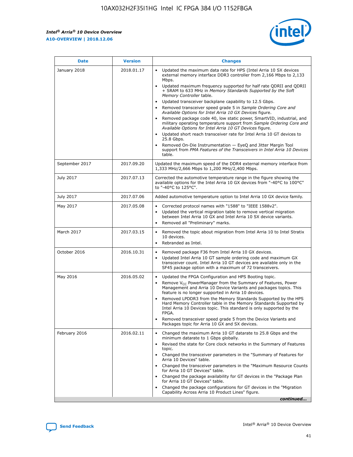

| <b>Date</b>    | <b>Version</b> | <b>Changes</b>                                                                                                                                                                                                                                                                                                                                                                                                                                                                                                                                                                                                                                                                                                                                                                                                                                                                                                                                               |
|----------------|----------------|--------------------------------------------------------------------------------------------------------------------------------------------------------------------------------------------------------------------------------------------------------------------------------------------------------------------------------------------------------------------------------------------------------------------------------------------------------------------------------------------------------------------------------------------------------------------------------------------------------------------------------------------------------------------------------------------------------------------------------------------------------------------------------------------------------------------------------------------------------------------------------------------------------------------------------------------------------------|
| January 2018   | 2018.01.17     | Updated the maximum data rate for HPS (Intel Arria 10 SX devices<br>external memory interface DDR3 controller from 2,166 Mbps to 2,133<br>Mbps.<br>Updated maximum frequency supported for half rate QDRII and QDRII<br>+ SRAM to 633 MHz in Memory Standards Supported by the Soft<br>Memory Controller table.<br>Updated transceiver backplane capability to 12.5 Gbps.<br>Removed transceiver speed grade 5 in Sample Ordering Core and<br>Available Options for Intel Arria 10 GX Devices figure.<br>Removed package code 40, low static power, SmartVID, industrial, and<br>military operating temperature support from Sample Ordering Core and<br>Available Options for Intel Arria 10 GT Devices figure.<br>Updated short reach transceiver rate for Intel Arria 10 GT devices to<br>25.8 Gbps.<br>Removed On-Die Instrumentation - EyeQ and Jitter Margin Tool<br>support from PMA Features of the Transceivers in Intel Arria 10 Devices<br>table. |
| September 2017 | 2017.09.20     | Updated the maximum speed of the DDR4 external memory interface from<br>1,333 MHz/2,666 Mbps to 1,200 MHz/2,400 Mbps.                                                                                                                                                                                                                                                                                                                                                                                                                                                                                                                                                                                                                                                                                                                                                                                                                                        |
| July 2017      | 2017.07.13     | Corrected the automotive temperature range in the figure showing the<br>available options for the Intel Arria 10 GX devices from "-40°C to 100°C"<br>to "-40°C to 125°C".                                                                                                                                                                                                                                                                                                                                                                                                                                                                                                                                                                                                                                                                                                                                                                                    |
| July 2017      | 2017.07.06     | Added automotive temperature option to Intel Arria 10 GX device family.                                                                                                                                                                                                                                                                                                                                                                                                                                                                                                                                                                                                                                                                                                                                                                                                                                                                                      |
| May 2017       | 2017.05.08     | Corrected protocol names with "1588" to "IEEE 1588v2".<br>Updated the vertical migration table to remove vertical migration<br>$\bullet$<br>between Intel Arria 10 GX and Intel Arria 10 SX device variants.<br>Removed all "Preliminary" marks.                                                                                                                                                                                                                                                                                                                                                                                                                                                                                                                                                                                                                                                                                                             |
| March 2017     | 2017.03.15     | Removed the topic about migration from Intel Arria 10 to Intel Stratix<br>10 devices.<br>Rebranded as Intel.<br>$\bullet$                                                                                                                                                                                                                                                                                                                                                                                                                                                                                                                                                                                                                                                                                                                                                                                                                                    |
| October 2016   | 2016.10.31     | Removed package F36 from Intel Arria 10 GX devices.<br>Updated Intel Arria 10 GT sample ordering code and maximum GX<br>$\bullet$<br>transceiver count. Intel Arria 10 GT devices are available only in the<br>SF45 package option with a maximum of 72 transceivers.                                                                                                                                                                                                                                                                                                                                                                                                                                                                                                                                                                                                                                                                                        |
| May 2016       | 2016.05.02     | Updated the FPGA Configuration and HPS Booting topic.<br>$\bullet$<br>Remove V <sub>CC</sub> PowerManager from the Summary of Features, Power<br>Management and Arria 10 Device Variants and packages topics. This<br>feature is no longer supported in Arria 10 devices.<br>Removed LPDDR3 from the Memory Standards Supported by the HPS<br>Hard Memory Controller table in the Memory Standards Supported by<br>Intel Arria 10 Devices topic. This standard is only supported by the<br>FPGA.<br>Removed transceiver speed grade 5 from the Device Variants and<br>Packages topic for Arria 10 GX and SX devices.                                                                                                                                                                                                                                                                                                                                         |
| February 2016  | 2016.02.11     | Changed the maximum Arria 10 GT datarate to 25.8 Gbps and the<br>minimum datarate to 1 Gbps globally.<br>Revised the state for Core clock networks in the Summary of Features<br>topic.<br>Changed the transceiver parameters in the "Summary of Features for<br>Arria 10 Devices" table.<br>Changed the transceiver parameters in the "Maximum Resource Counts"<br>for Arria 10 GT Devices" table.<br>Changed the package availability for GT devices in the "Package Plan<br>for Arria 10 GT Devices" table.<br>Changed the package configurations for GT devices in the "Migration"<br>Capability Across Arria 10 Product Lines" figure.<br>continued                                                                                                                                                                                                                                                                                                     |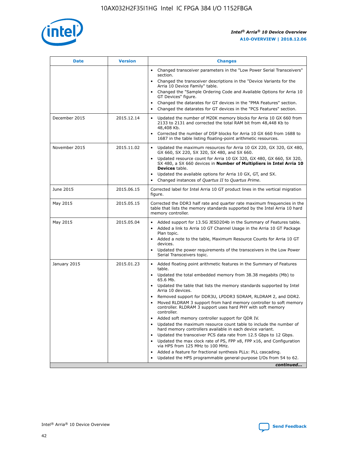

| <b>Date</b>   | <b>Version</b> | <b>Changes</b>                                                                                                                                                               |
|---------------|----------------|------------------------------------------------------------------------------------------------------------------------------------------------------------------------------|
|               |                | • Changed transceiver parameters in the "Low Power Serial Transceivers"<br>section.                                                                                          |
|               |                | • Changed the transceiver descriptions in the "Device Variants for the<br>Arria 10 Device Family" table.                                                                     |
|               |                | Changed the "Sample Ordering Code and Available Options for Arria 10<br>$\bullet$<br>GT Devices" figure.                                                                     |
|               |                | Changed the datarates for GT devices in the "PMA Features" section.                                                                                                          |
|               |                | Changed the datarates for GT devices in the "PCS Features" section.<br>$\bullet$                                                                                             |
| December 2015 | 2015.12.14     | Updated the number of M20K memory blocks for Arria 10 GX 660 from<br>2133 to 2131 and corrected the total RAM bit from 48,448 Kb to<br>48,408 Kb.                            |
|               |                | Corrected the number of DSP blocks for Arria 10 GX 660 from 1688 to<br>1687 in the table listing floating-point arithmetic resources.                                        |
| November 2015 | 2015.11.02     | Updated the maximum resources for Arria 10 GX 220, GX 320, GX 480,<br>$\bullet$<br>GX 660, SX 220, SX 320, SX 480, and SX 660.                                               |
|               |                | • Updated resource count for Arria 10 GX 320, GX 480, GX 660, SX 320,<br>SX 480, a SX 660 devices in Number of Multipliers in Intel Arria 10<br><b>Devices</b> table.        |
|               |                | Updated the available options for Arria 10 GX, GT, and SX.                                                                                                                   |
|               |                | Changed instances of Quartus II to Quartus Prime.<br>$\bullet$                                                                                                               |
| June 2015     | 2015.06.15     | Corrected label for Intel Arria 10 GT product lines in the vertical migration<br>figure.                                                                                     |
| May 2015      | 2015.05.15     | Corrected the DDR3 half rate and quarter rate maximum frequencies in the<br>table that lists the memory standards supported by the Intel Arria 10 hard<br>memory controller. |
| May 2015      | 2015.05.04     | • Added support for 13.5G JESD204b in the Summary of Features table.                                                                                                         |
|               |                | • Added a link to Arria 10 GT Channel Usage in the Arria 10 GT Package<br>Plan topic.                                                                                        |
|               |                | • Added a note to the table, Maximum Resource Counts for Arria 10 GT<br>devices.                                                                                             |
|               |                | • Updated the power requirements of the transceivers in the Low Power<br>Serial Transceivers topic.                                                                          |
| January 2015  | 2015.01.23     | • Added floating point arithmetic features in the Summary of Features<br>table.                                                                                              |
|               |                | • Updated the total embedded memory from 38.38 megabits (Mb) to<br>65.6 Mb.                                                                                                  |
|               |                | • Updated the table that lists the memory standards supported by Intel<br>Arria 10 devices.                                                                                  |
|               |                | Removed support for DDR3U, LPDDR3 SDRAM, RLDRAM 2, and DDR2.                                                                                                                 |
|               |                | Moved RLDRAM 3 support from hard memory controller to soft memory<br>controller. RLDRAM 3 support uses hard PHY with soft memory<br>controller.                              |
|               |                | Added soft memory controller support for QDR IV.<br>٠                                                                                                                        |
|               |                | Updated the maximum resource count table to include the number of<br>hard memory controllers available in each device variant.                                               |
|               |                | Updated the transceiver PCS data rate from 12.5 Gbps to 12 Gbps.<br>$\bullet$                                                                                                |
|               |                | Updated the max clock rate of PS, FPP x8, FPP x16, and Configuration<br>via HPS from 125 MHz to 100 MHz.                                                                     |
|               |                | Added a feature for fractional synthesis PLLs: PLL cascading.                                                                                                                |
|               |                | Updated the HPS programmable general-purpose I/Os from 54 to 62.<br>$\bullet$                                                                                                |
|               |                | continued                                                                                                                                                                    |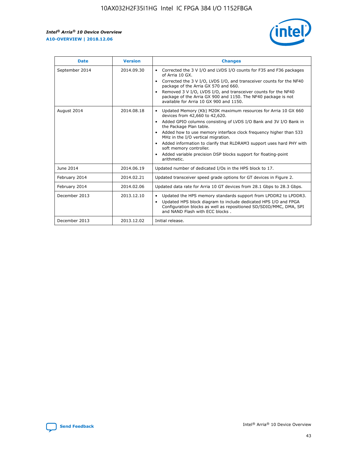r



| <b>Date</b>    | <b>Version</b> | <b>Changes</b>                                                                                                                                                                                                                                                                                                                                                                                                                                                                                                                                      |
|----------------|----------------|-----------------------------------------------------------------------------------------------------------------------------------------------------------------------------------------------------------------------------------------------------------------------------------------------------------------------------------------------------------------------------------------------------------------------------------------------------------------------------------------------------------------------------------------------------|
| September 2014 | 2014.09.30     | Corrected the 3 V I/O and LVDS I/O counts for F35 and F36 packages<br>$\bullet$<br>of Arria 10 GX.<br>Corrected the 3 V I/O, LVDS I/O, and transceiver counts for the NF40<br>$\bullet$<br>package of the Arria GX 570 and 660.<br>Removed 3 V I/O, LVDS I/O, and transceiver counts for the NF40<br>$\bullet$<br>package of the Arria GX 900 and 1150. The NF40 package is not<br>available for Arria 10 GX 900 and 1150.                                                                                                                          |
| August 2014    | 2014.08.18     | Updated Memory (Kb) M20K maximum resources for Arria 10 GX 660<br>devices from 42,660 to 42,620.<br>Added GPIO columns consisting of LVDS I/O Bank and 3V I/O Bank in<br>$\bullet$<br>the Package Plan table.<br>Added how to use memory interface clock frequency higher than 533<br>$\bullet$<br>MHz in the I/O vertical migration.<br>Added information to clarify that RLDRAM3 support uses hard PHY with<br>$\bullet$<br>soft memory controller.<br>Added variable precision DSP blocks support for floating-point<br>$\bullet$<br>arithmetic. |
| June 2014      | 2014.06.19     | Updated number of dedicated I/Os in the HPS block to 17.                                                                                                                                                                                                                                                                                                                                                                                                                                                                                            |
| February 2014  | 2014.02.21     | Updated transceiver speed grade options for GT devices in Figure 2.                                                                                                                                                                                                                                                                                                                                                                                                                                                                                 |
| February 2014  | 2014.02.06     | Updated data rate for Arria 10 GT devices from 28.1 Gbps to 28.3 Gbps.                                                                                                                                                                                                                                                                                                                                                                                                                                                                              |
| December 2013  | 2013.12.10     | Updated the HPS memory standards support from LPDDR2 to LPDDR3.<br>Updated HPS block diagram to include dedicated HPS I/O and FPGA<br>$\bullet$<br>Configuration blocks as well as repositioned SD/SDIO/MMC, DMA, SPI<br>and NAND Flash with ECC blocks.                                                                                                                                                                                                                                                                                            |
| December 2013  | 2013.12.02     | Initial release.                                                                                                                                                                                                                                                                                                                                                                                                                                                                                                                                    |